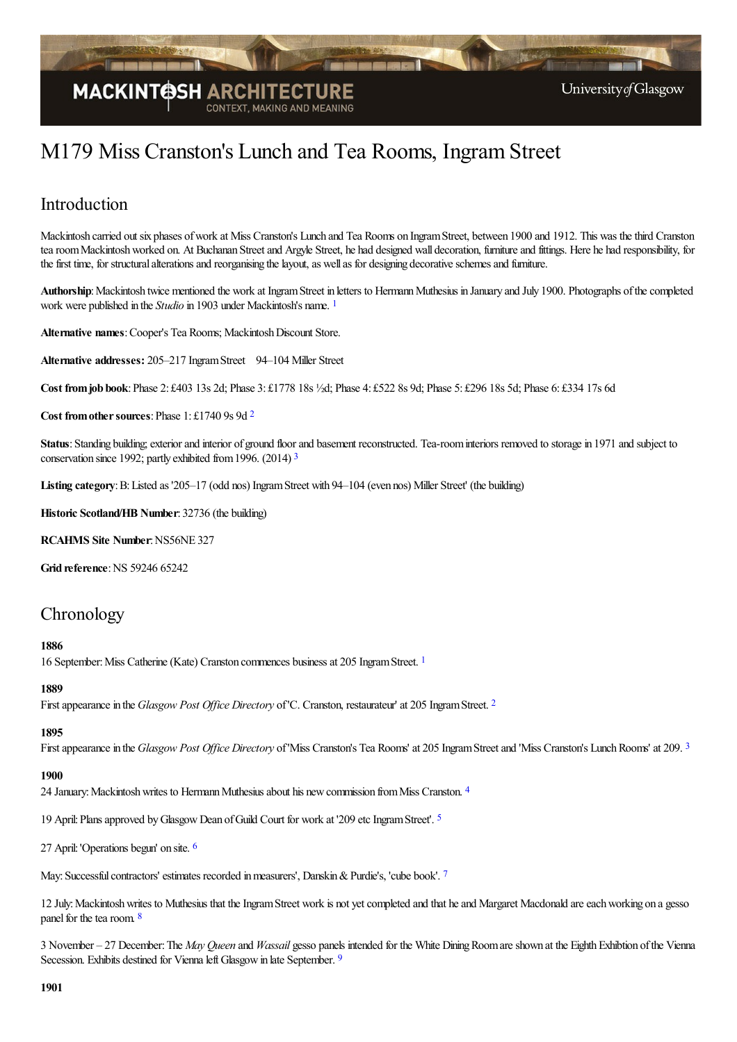

# M179 Miss Cranston's Lunch and Tea Rooms, Ingram Street

## Introduction

Mackintosh carried outsix phases ofwork at Miss Cranston's Lunch and Tea Rooms on IngramStreet, between 1900 and 1912. This was thethird Cranston tea room Mackintosh worked on. At Buchanan Street and Argyle Street, he had designed wall decoration, furniture and fittings. Here he had responsibility, for the first time, for structural alterations and reorganising the layout, as well as for designing decorative schemes and furniture.

<span id="page-0-0"></span>Authorship: Mackintosh twice mentioned the work at Ingram Street in letters to Hermann Muthesius in January and July 1900. Photographs of the completed work were published in the *Studio* in 1903 under Mackintosh's name. [1](#page-14-0)

**Alternative names**:Cooper's Tea Rooms; MackintoshDiscount Store.

**Alternative addresses:** 205–217 IngramStreet 94–104 Miller Street

**Cost fromjob book**:Phase 2: £403 13s 2d; Phase 3: £1778 18s ½d; Phase 4: £522 8s 9d; Phase 5: £296 18s 5d; Phase 6: £334 17s 6d

<span id="page-0-1"></span>**Cost fromothersources**:Phase 1: £1740 9s 9d [2](#page-14-1)

<span id="page-0-2"></span>**Status**: Standing building; exterior and interior of ground floor and basement reconstructed. Tea-room interiors removed to storage in 1971 and subject to conservation since 1992; partly exhibited from1996. (2014) [3](#page-14-2)

**Listing category**:B:Listed as '205–17 (odd nos) IngramStreet with 94–104 (even nos) Miller Street' (the building)

**Historic Scotland/HB Number**: 32736 (the building)

**RCAHMS** Site Number: NS56NE 327

**Grid reference: NS 59246 65242** 

## Chronology

#### <span id="page-0-3"></span>**1886**

[1](#page-14-3)6 September: Miss Catherine (Kate) Cranston commences business at 205 Ingram Street. <sup>1</sup>

#### **1889**

<span id="page-0-4"></span>First appearance in the *Glasgow Post Office Directory* of 'C. Cranston, restaurateur' at [2](#page-14-4)05 Ingram Street. <sup>2</sup>

#### <span id="page-0-5"></span>**1895**

First appearance in the *Glasgow Post Office Directory* of 'Miss Cranston's Tea Rooms' at 205 Ingram Street and 'Miss Cranston's Lunch Rooms' at 209.<sup>[3](#page-14-5)</sup>

#### <span id="page-0-6"></span>**1900**

2[4](#page-14-6) January: Mackintosh writes to Hermann Muthesius about his new commission from Miss Cranston. 4

<span id="page-0-7"></span>19 April: Plans approved by Glasgow Dean of Guild Court for work at '209 etc Ingram Street'. <sup>[5](#page-14-7)</sup>

<span id="page-0-8"></span>27 April:'Operations begun' on site. [6](#page-14-8)

<span id="page-0-9"></span>May: Successful contractors' estimates recorded in measurers', Danskin & Purdie's, 'cube book'. [7](#page-14-9)

<span id="page-0-10"></span>12 July: Mackintosh writes to Muthesius that the Ingram Street work is not yet completed and that he and Margaret Macdonald are each working on a gesso panel for the tea room. [8](#page-14-10)

<span id="page-0-11"></span>3 November – 27 December:The *May Queen* and *Wassail* gesso panels intended for the White DiningRoomareshown at the EighthExhibtion ofthe Vienna Secession. Exhibits destined for Vienna left Glasgow in late September. [9](#page-14-11)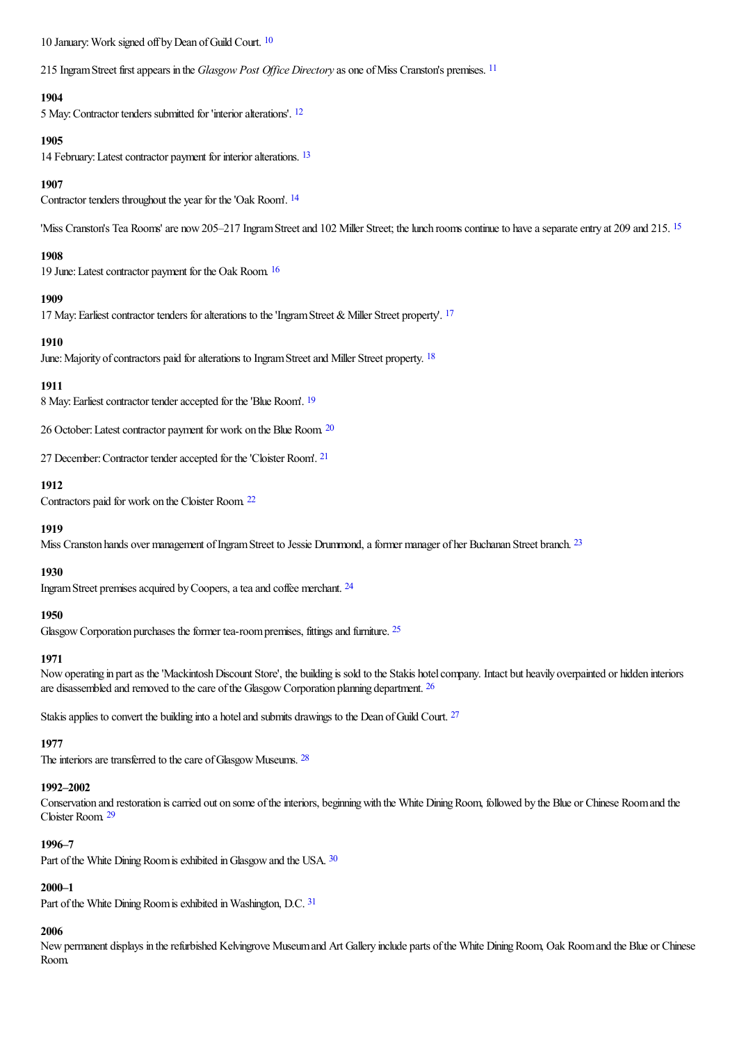<span id="page-1-1"></span><span id="page-1-0"></span>[10](#page-15-0) January: Work signed off by Dean of Guild Court. <sup>10</sup>

215 IngramStreet firstappears in the *Glasgow Post Of ice Directory*as one ofMiss Cranston's premises. [11](#page-15-1)

#### <span id="page-1-2"></span>**1904**

5 May:Contractor tenders submitted for 'interioralterations'. [12](#page-15-2)

#### **1905**

<span id="page-1-3"></span>14 February: Latest contractor payment for interior alterations. <sup>[13](#page-15-3)</sup>

#### <span id="page-1-4"></span>**1907**

Contractor tenders throughout the year for the'Oak Room'. [14](#page-15-4)

'Miss Cranston's Tea Rooms' are now 205–217 Ingram Street and 102 Miller Street; the lunch rooms continue to have a separate entry at 209 and 2[15](#page-15-5). <sup>15</sup>

#### <span id="page-1-5"></span>**1908**

<span id="page-1-6"></span>19 June: Latest contractor payment for the Oak Room. [16](#page-15-6)

#### **1909**

<span id="page-1-7"></span>[17](#page-15-7) May: Earliest contractor tenders for alterations to the 'Ingram Street & Miller Street property'. <sup>17</sup>

#### <span id="page-1-8"></span>**1910**

June: Majority of contractors paid for alterations to Ingram Street and Miller Street property. <sup>[18](#page-15-8)</sup>

#### <span id="page-1-9"></span>**1911**

8 May: Earliest contractor tender accepted for the 'Blue Room'. <sup>[19](#page-15-9)</sup>

<span id="page-1-10"></span>26 October: Latest contractor payment for work on the Blue Room. [20](#page-15-10)

<span id="page-1-11"></span>27 December: Contractor tender accepted for the 'Cloister Room'. <sup>[21](#page-15-11)</sup>

#### <span id="page-1-12"></span>**1912**

Contractors paid for work on the Cloister Room. [22](#page-15-12)

#### <span id="page-1-13"></span>**1919**

Miss Cranston hands over management of Ingram Street to Jessie Drummond, a former manager of her Buchanan Street branch. <sup>[23](#page-15-13)</sup>

#### <span id="page-1-14"></span>**1930**

Ingram Street premises acquired by Coopers, a tea and coffee merchant. <sup>[24](#page-15-14)</sup>

#### **1950**

<span id="page-1-15"></span>Glasgow Corporation purchases the former tea-room premises, fittings and furniture. <sup>[25](#page-15-15)</sup>

#### <span id="page-1-16"></span>**1971**

Nowoperating in partas the'MackintoshDiscount Store', the building is sold to the Stakis hotelcompany. Intact but heavily overpainted or hidden interiors are disassembled and removed to the care of the Glasgow Corporation planning department.  $26$ 

Stakis applies to convert the building into a hotel and submits drawings to the Dean of Guild Court. <sup>[27](#page-15-17)</sup>

#### <span id="page-1-18"></span><span id="page-1-17"></span>**1977**

The interiors are transferred to the care of Glasgow Museums. <sup>[28](#page-15-18)</sup>

#### **1992–2002**

<span id="page-1-19"></span>Conservation and restoration is carried out on some of the interiors, beginning with the White Dining Room, followed by the Blue or Chinese Room and the Cloister Room. [29](#page-15-19)

#### <span id="page-1-20"></span>**1996–7**

Part of the White Dining Room is exhibited in Glasgow and the USA. [30](#page-15-20)

#### **2000–1**

<span id="page-1-21"></span>Part of the White Dining Room is exhibited in Washington, D.C. [31](#page-15-21)

#### **2006**

New permanent displays in the refurbished Kelvingrove Museum and Art Gallery include parts of the White Dining Room, Oak Room and the Blue or Chinese Room.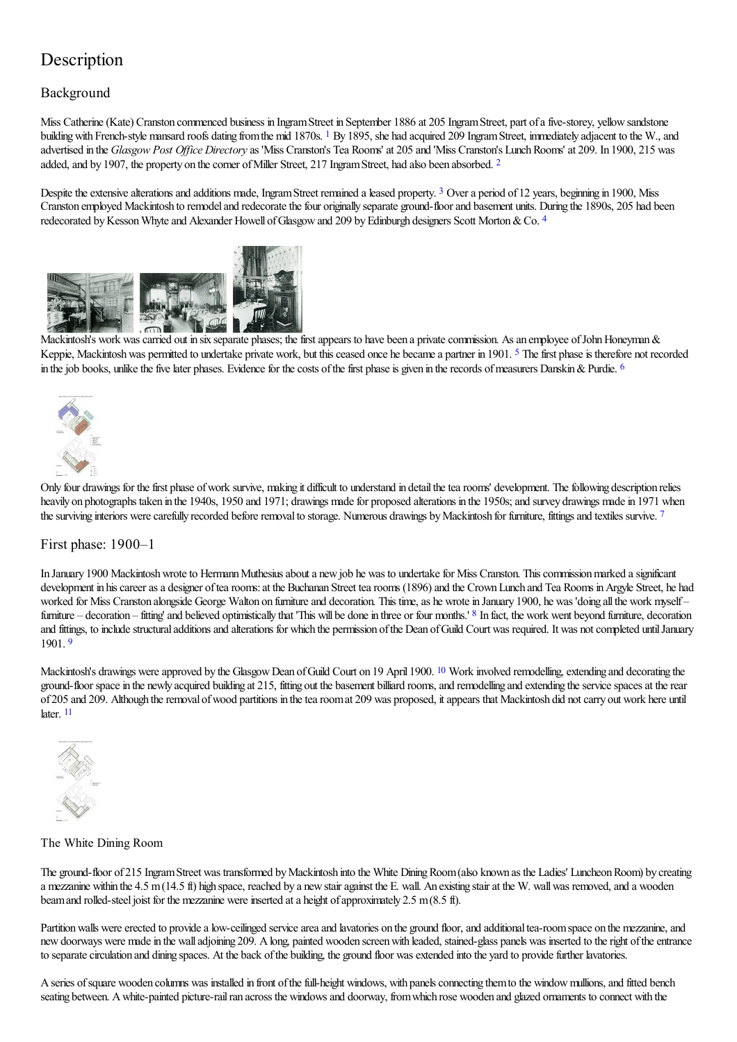## **Description**

### Background

<span id="page-2-0"></span>Miss Catherine(Kate) Cranston commenced business in IngramStreet in September 1886 at 205 IngramStreet, part ofafive-storey, yellowsandstone building with French-style mansard roofs dating from the mid [1](#page-15-22)870s. <sup>1</sup> By 1895, she had acquired 209 Ingram Street, immediately adjacent to the W., and advertised in the *Glasgow Post Office Directory* as 'Miss Cranston's Tea Rooms' at 205 and 'Miss Cranston's Lunch Rooms' at 209. In 1900, 215 was added, and by 1907, the property on the corner of Miller Street, [2](#page-15-23)17 Ingram Street, had also been absorbed. <sup>2</sup>

<span id="page-2-2"></span><span id="page-2-1"></span>Despite the extensive alterations and additions made, Ingram Street remained a leased property. <sup>[3](#page-15-24)</sup> Over a period of 12 years, beginning in 1900, Miss Cranston employed Mackintosh to remodel and redecorate the four originally separate ground-floor and basement units. During the 1890s, 205 had been redecorated by Kesson Whyte and Alexander Howell of Glasgow and 209 by Edinburgh designers Scott Morton & Co. [4](#page-15-25)

<span id="page-2-3"></span>

[Mackintosh](http://www.mackintosh-architecture.gla.ac.uk/catalogue/images/?filename=ph239_042)'[s](http://www.mackintosh-architecture.gla.ac.uk/catalogue/images/?filename=ph239_042) work was carried out in six separate [phases;](http://www.mackintosh-architecture.gla.ac.uk/catalogue/images/?filename=ph239_044) the first appears to have been a private commission. As an employee of John Honeyman & Keppie, Mackintosh was permitted to undertake private work, but this ceased once he became a partner in 1901. <sup>[5](#page-15-26)</sup> The first phase is therefore not recorded in the job books, unlike the five later phases. Evidence for the costs of the first phase is given in the records of measurers Danskin & Purdie. <sup>[6](#page-15-27)</sup>

<span id="page-2-6"></span><span id="page-2-5"></span><span id="page-2-4"></span>

Only four drawings for the first phase of work survive, making it difficult to understand in detail the tea rooms' development. The following description relies heavily on photographs taken in the 1940s, 1950 and 1971; drawings made for proposed alterations in the 1950s; and survey drawings made in 1971 when the surviving interiors were carefully recorded before removal to storage. Numerous drawings by Mackintosh for furniture, fittings and textiles survive. [7](#page-15-28)

#### First phase: 1900–1

<span id="page-2-7"></span>In January 1900 Mackintosh wrote to Hermann Muthesius about a new job he was to undertake for Miss Cranston. This commission marked a significant development in his career as a designer of tea rooms: at the Buchanan Street tea rooms (1896) and the Crown Lunch and Tea Rooms in Argyle Street, he had worked for Miss Cranston alongside George Walton on furniture and decoration. This time, as he wrote in January 1900, he was 'doing all the work myself-furniture – decoration – fitting' and believed optimistically that 'This will be done in three or four months.' <sup>[8](#page-16-0)</sup> In fact, the work went beyond furniture, decoration and fittings, to include structural additions and alterations for which the permission of the Dean of Guild Court was required. It was not completed until January 1901. [9](#page-16-1)

<span id="page-2-8"></span>Mackintosh's drawings were approved by the Glasgow Dean of Guild Court on 19 April 1900. <sup>[10](#page-16-2)</sup> Work involved remodelling, extending and decorating the ground-floor space in the newly acquired building at 215, fitting out the basement billiard rooms, and remodelling and extending the service spaces at the rear of 205 and 209. Although theremoval ofwood partitions in thetearoomat 209 was proposed, itappears that Mackintosh did notcarry out work here until later. [11](#page-16-3)

<span id="page-2-10"></span><span id="page-2-9"></span>

#### The White Dining Room

The ground-floor of 215 Ingram Street was transformed by Mackintosh into the White Dining Room (also known as the Ladies' Luncheon Room) by creating a mezzanine within the 4.5 m (14.5 ft) high space, reached by a new stair against the E. wall. An existing stair at the W. wall was removed, and a wooden beam and rolled-steel joist for the mezzanine were inserted at a height of approximately 2.5 m(8.5 ft).

Partition walls were erected to provide a low-ceilinged service area and lavatories on the ground floor, and additional tea-room space on the mezzanine, and new doorways were made in the wall adjoining 209. A long, painted wooden screen with leaded, stained-glass panels was inserted to the right of the entrance to separate circulation and dining spaces. At the back of the building, the ground floor was extended into the yard to provide further lavatories.

A series of square wooden columns was installed in front of the full-height windows, with panels connecting them to the window mullions, and fitted bench seating between. A white-painted picture-rail ran across the windows and doorway, from which rose wooden and glazed ornaments to connect with the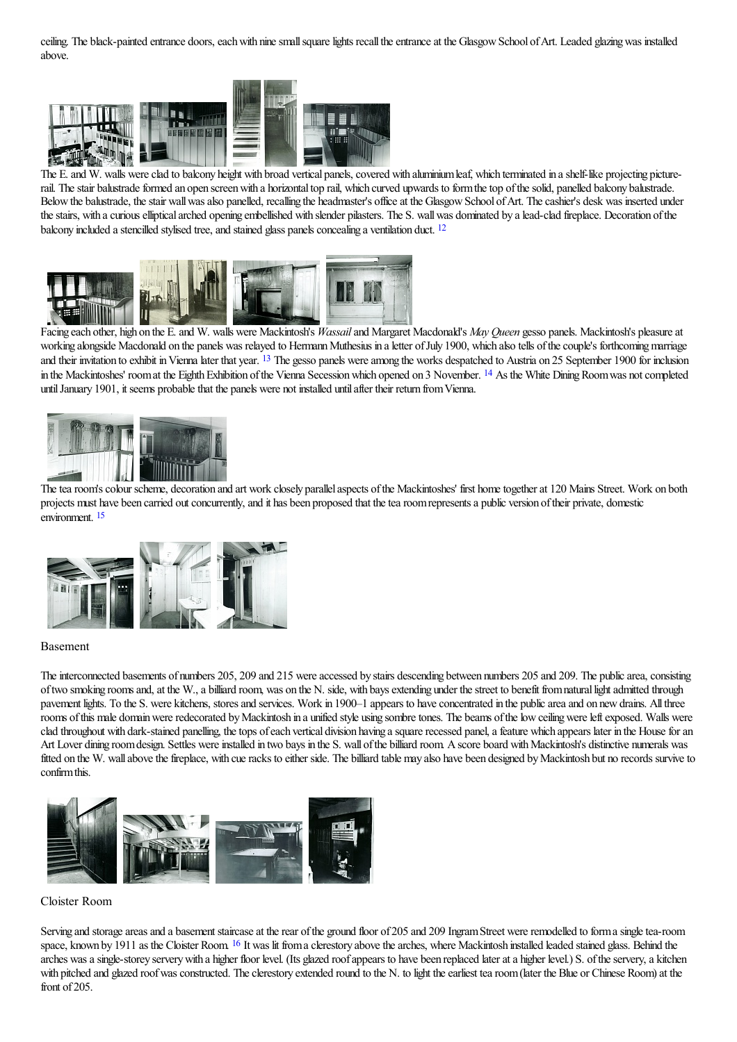ceiling. The black-painted entrance doors, each with nine small square lights recall the entrance at the Glasgow School of Art. Leaded glazing was installed above.



The E. and W. walls were clad to balcony height with [broad](http://www.mackintosh-architecture.gla.ac.uk/catalogue/images/?filename=ph239_039) vertical panels, covered with aluminium leaf, which terminated in a shelf-like projecting picturerail. The stair balustrade formed an open screen with a horizontal top rail, which curved upwards to form the top of the solid, panelled balcony balustrade. Below the balustrade, the stair wall was also panelled, recalling the headmaster's office at the Glasgow School of Art. The cashier's desk was inserted under the stairs, with a curious elliptical arched opening embellished with slender pilasters. The S. wall was dominated by a lead-clad fireplace. Decoration of the balcony included a stencilled stylised tree, and stained glass panels concealing a ventilation duct. <sup>[12](#page-16-4)</sup>

<span id="page-3-0"></span>

<span id="page-3-1"></span>[Facing](http://www.mackintosh-architecture.gla.ac.uk/catalogue/images/?filename=ph239_003) each other, high on the E. and W. walls were [Mackintosh](http://www.mackintosh-architecture.gla.ac.uk/catalogue/images/?filename=ph239_004)'[s](http://www.mackintosh-architecture.gla.ac.uk/catalogue/images/?filename=ph239_004) *Wassail* and [Margaret](http://www.mackintosh-architecture.gla.ac.uk/catalogue/images/?filename=ph239_007) Macdonald's *May Queen* gesso panels. Mackintosh's pleasure at working alongside Macdonald on the panels was relayed to Hermann Muthesius in a letter of July 1900, which also tells of the couple's forthcoming marriage and their invitation to exhibit in Vienna later that year. <sup>[13](#page-16-5)</sup> The gesso panels were among the works despatched to Austria on 25 September 1900 for inclusion in the Mackintoshes' room at the Eighth Exhibition of the Vienna Secession which opened on 3 November. <sup>[14](#page-16-6)</sup> As the White Dining Room was not completed until January 1901, it seems probable that the panels were not installed until after their return from Vienna.

<span id="page-3-2"></span>

<span id="page-3-3"></span>The tea room's colour scheme, decoration and art work closely parallel aspects of the Mackintoshes' first home together at 120 Mains Street. Work on both projects must have been carried out concurrently, and it has been proposed that the tea room represents a public version of their private, domestic environment. [15](#page-16-7)



#### Basement

The interconnected basements of numbers 205, 209 and 215 were accessed by stairs descending between numbers 205 and 209. The public area, consisting oftwo smoking roomsand,at the W.,a billiard room, was on the N. side, with baysextending under thestreet to benefit fromnaturallightadmitted through pavement lights. To the S. were kitchens, stores and services. Work in 1900–1 appears to have concentrated in the public area and on new drains. All three rooms of this male domain were redecorated by Mackintosh in a unified style using sombre tones. The beams of the low ceiling were left exposed. Walls were clad throughout with dark-stained panelling, the tops of each vertical division having a square recessed panel, a feature which appears later in the House for an Art Lover dining room design. Settles were installed in two bays in the S. wall of the billiard room. A score board with Mackintosh's distinctive numerals was fitted on the W. wall above the fireplace, with cue racks to either side. The billiard table may also have been designed by Mackintosh but no records survive to confirm this.



#### Cloister Room

<span id="page-3-4"></span>Serving and storage areas and a basement staircase at the rear of the ground floor of 205 and 209 Ingram Street were remodelled to form a single tea-room space, known by 1911 as the Cloister Room. <sup>[16](#page-16-8)</sup> It was lit from a clerestory above the arches, where Mackintosh installed leaded stained glass. Behind the arches was a single-storey servery with a higher floor level. (Its glazed roof appears to have been replaced later at a higher level.) S. of the servery, a kitchen with pitched and glazed roof was constructed. The clerestory extended round to the N, to light the earliest tea room (later the Blue or Chinese Room) at the front of 205.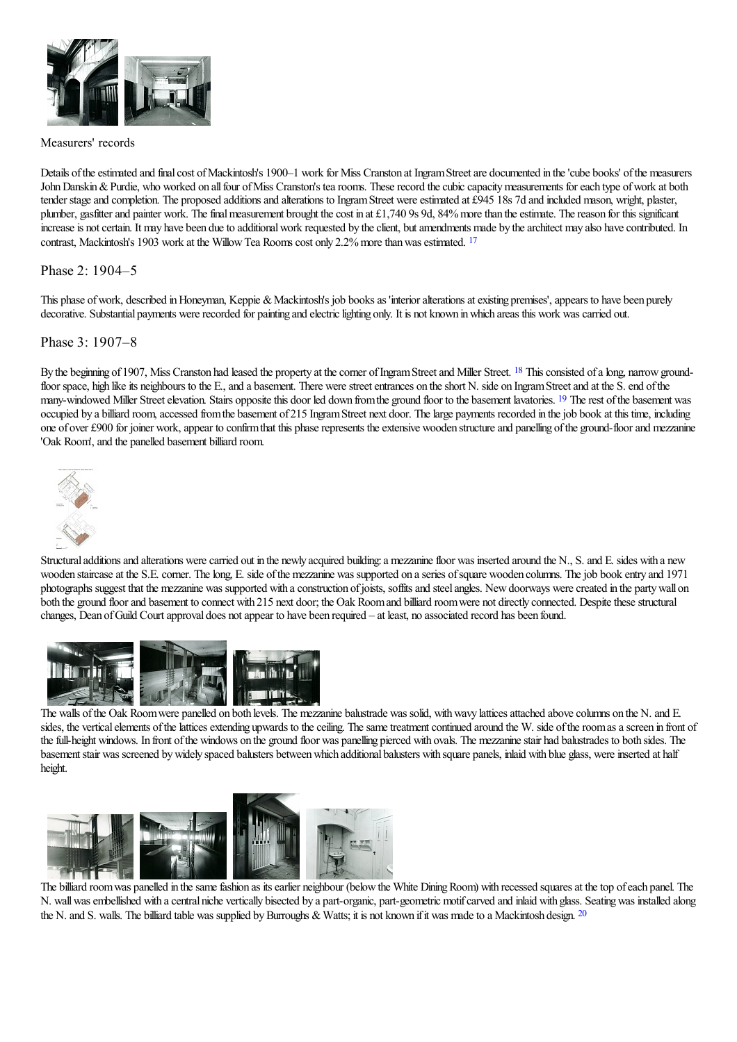

#### Measurers' records

Details of the estimated and final cost of Mackintosh's 1900–1 work for Miss Cranston at Ingram Street are documented in the 'cube books' of the measurers John Danskin & Purdie, who worked on all four of Miss Cranston's tea rooms. These record the cubic capacity measurements for each type of work at both tender stage and completion. The proposed additions and alterations to Ingram Street were estimated at £945 18s 7d and included mason, wright, plaster, plumber, gasfitter and painter work. The final measurement brought the cost in at £1,740 9s 9d, 84% more than the estimate. The reason for this significant increase is not certain. It may have been due to additional work requested by the client, but amendments made by the architect may also have contributed. In contrast, Mackintosh's 1903 work at the Willow Tea Rooms cost only 2.2% more than was estimated. <sup>[17](#page-16-9)</sup>

#### <span id="page-4-0"></span>Phase 2: 1904–5

This phase of work, described in Honeyman, Keppie & Mackintosh's job books as 'interior alterations at existing premises', appears to have been purely decorative. Substantial payments were recorded for painting and electric lighting only. It is not known in which areas this work was carried out.

#### Phase 3: 1907–8

By the beginning of 1907, Miss Cranston had leased the property at the corner of Ingram Street and Miller Street. <sup>[18](#page-16-10)</sup> This consisted of a long, narrow groundfloor space, high like its neighbours to the E., and a basement. There were street entrances on the short N. side on Ingram Street and at the S. end of the many-windowed Miller Street elevation. Stairs opposite this door led down from the ground floor to the basement lavatories. <sup>[19](#page-16-11)</sup> The rest of the basement was occupied by a billiard room,accessed fromthe basement of 215 IngramStreet next door. Thelarge payments recorded in thejob book at this time, including one of over £900 for joiner work, appear to confirm that this phase represents the extensive wooden structure and panelling of the ground-floor and mezzanine 'Oak Room', and the panelled basement billiard room.

<span id="page-4-2"></span><span id="page-4-1"></span>

Structural additions and alterations were carried out in the newly acquired building: a mezzanine floor was inserted around the N., S. and E. sides with a new wooden staircase at the S.E. corner. The long, E. side of the mezzanine was supported on a series of square wooden columns. The job book entry and 1971 photographs suggest that the mezzanine was supported with a construction of joists, soffits and steel angles. New doorways were created in the party wall on both the ground floor and basement to connect with 215 next door; the Oak Room and billiard room were not directly connected. Despite these structural changes, Dean of Guild Court approval does not appear to have been required - at least, no associated record has been found.



The walls of the Oak Room were panelled on both levels. The mezzanine balustrade was solid, with wavy lattices attached above columns on the N. and E. sides, the vertical elements of the lattices extending upwards to the ceiling. The same treatment continued around the W. side of the room as a screen in front of the full-height windows. In front of the windows on the ground floor was panelling pierced with ovals. The mezzanine stair had balustrades to both sides. The basement stair was screened by widely spaced balusters between which additional balusters with square panels, inlaid with blue glass, were inserted at half height.



<span id="page-4-3"></span>The billiard room was panelled in the same fashion as its earlier neighbour (below the White Dining Room) with recessed squares at the top of each panel. The N. wallwasembellished with acentral niche vertically bisected by a part-organic, part-geometric motifcarved and inlaid with glass. Seatingwas installed along the N. and S. walls. The billiard table was supplied by Burroughs & Watts; it is not known if it was made to a Mackintosh design.  $^{20}$  $^{20}$  $^{20}$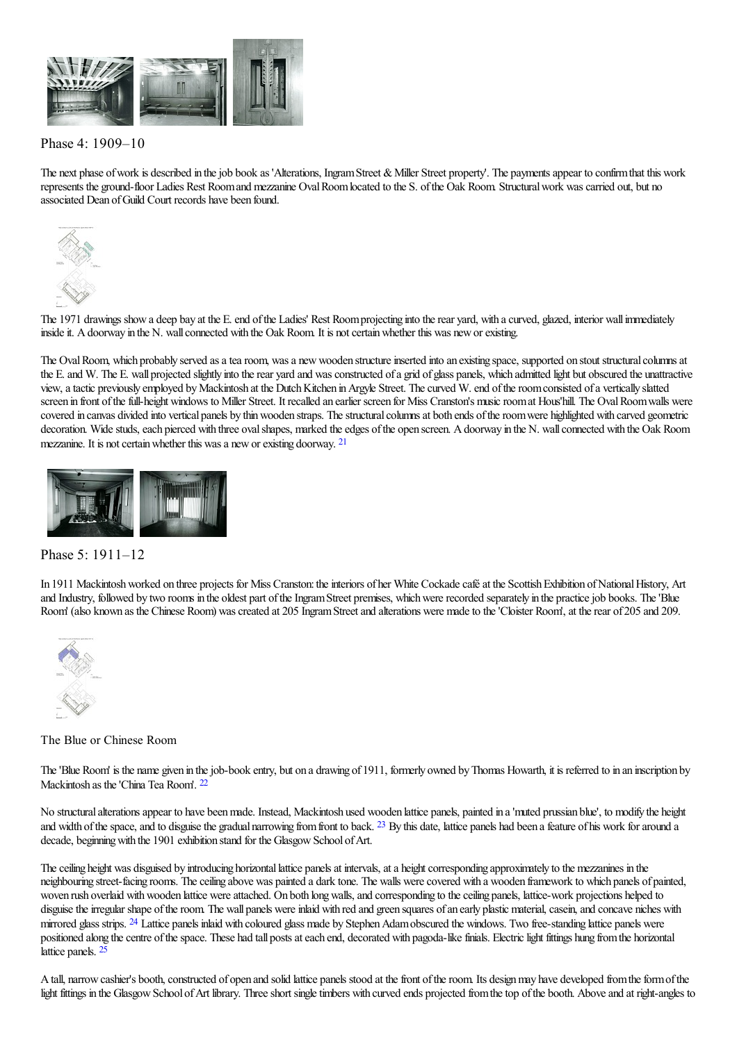

### Phase 4: 1909–10

The next phase of work is described in the job book as 'Alterations, Ingram Street & Miller Street property'. The payments appear to confirm that this work represents the ground-floor Ladies Rest Room and mezzanine Oval Room located to the S. of the Oak Room. Structural work was carried out, but no associated Dean ofGuild Court records have been found.



The 1971 drawings show a deep bay at the E. end of the Ladies' Rest Room projecting into the rear yard, with a curved, glazed, interior wall immediately inside it. A doorway in the N. wall connected with the Oak Room. It is not certain whether this was new or existing.

The Oval Room, which probably served as a tea room, was a new wooden structure inserted into an existing space, supported on stout structural columns at the E. and W. The E. wall projected slightly into the rear yard and was constructed of a grid of glass panels, which admitted light but obscured the unattractive view, a tactic previously employed by Mackintosh at the Dutch Kitchen in Argyle Street. The curved W. end of the room consisted of a vertically slatted screen in front of the full-height windows to Miller Street. It recalled an earlier screen for Miss Cranston's music room at Hous'hill. The Oval Room walls were covered in canvas divided into vertical panels by thin wooden straps. The structural columns at both ends of the room were highlighted with carved geometric decoration. Wide studs, each pierced with three oval shapes, marked the edges of the open screen. A doorway in the N. wall connected with the Oak Room mezzanine. It is not certain whether this was a new or existing doorway. <sup>[21](#page-16-13)</sup>

<span id="page-5-0"></span>

#### Phase 5: 1911–12

In 1911 Mackintosh worked on three projects for Miss Cranston: the interiors of her White Cockade café at the Scottish Exhibition of National History, Art and Industry, followed by two rooms in the oldest part of the Ingram Street premises, which were recorded separately in the practice job books. The 'Blue Room' (also known as the Chinese Room) was created at 205 Ingram Street and alterations were made to the 'Cloister Room', at the rear of 205 and 209.



The Blue or Chinese Room

<span id="page-5-1"></span>The 'Blue Room' is the name given in the job-book entry, but on a drawing of 1911, formerly owned by Thomas Howarth, it is referred to in an inscription by Mackintosh as the'China Tea Room'. [22](#page-16-14)

<span id="page-5-2"></span>No structuralalterationsappear to have beenmade. Instead, Mackintosh used wooden lattice panels, painted in a'muted prussian blue', to modify the height and width of the space, and to disguise the gradual narrowing from front to back.  $^{23}$  $^{23}$  $^{23}$  By this date, lattice panels had been a feature of his work for around a decade, beginning with the 1901 exhibition stand for the Glasgow School of Art.

<span id="page-5-3"></span>The ceiling height was disguised by introducing horizontal lattice panels at intervals, at a height corresponding approximately to the mezzanines in the neighbouring street-facing rooms. Theceiling above was painted a dark tone. The walls werecovered with a wooden framework to which panels of painted, woven rush overlaid with wooden lattice were attached. On both long walls, and corresponding to the ceiling panels, lattice-work projections helped to disguise the irregular shape of the room. The wall panels were inlaid with red and green squares of an early plastic material, casein, and concave niches with mirrored glass strips. <sup>[24](#page-16-16)</sup> Lattice panels inlaid with coloured glass made by Stephen Adam obscured the windows. Two free-standing lattice panels were positioned along the centre of the space. These had tall posts at each end, decorated with pagoda-like finials. Electric light fittings hung from the horizontal lattice panels. [25](#page-16-17)

<span id="page-5-4"></span>A tall, narrow cashier's booth, constructed of open and solid lattice panels stood at the front of the room. Its design may have developed from the form of the light fittings in the Glasgow School of Art library. Three short single timbers with curved ends projected from the top of the booth. Above and at right-angles to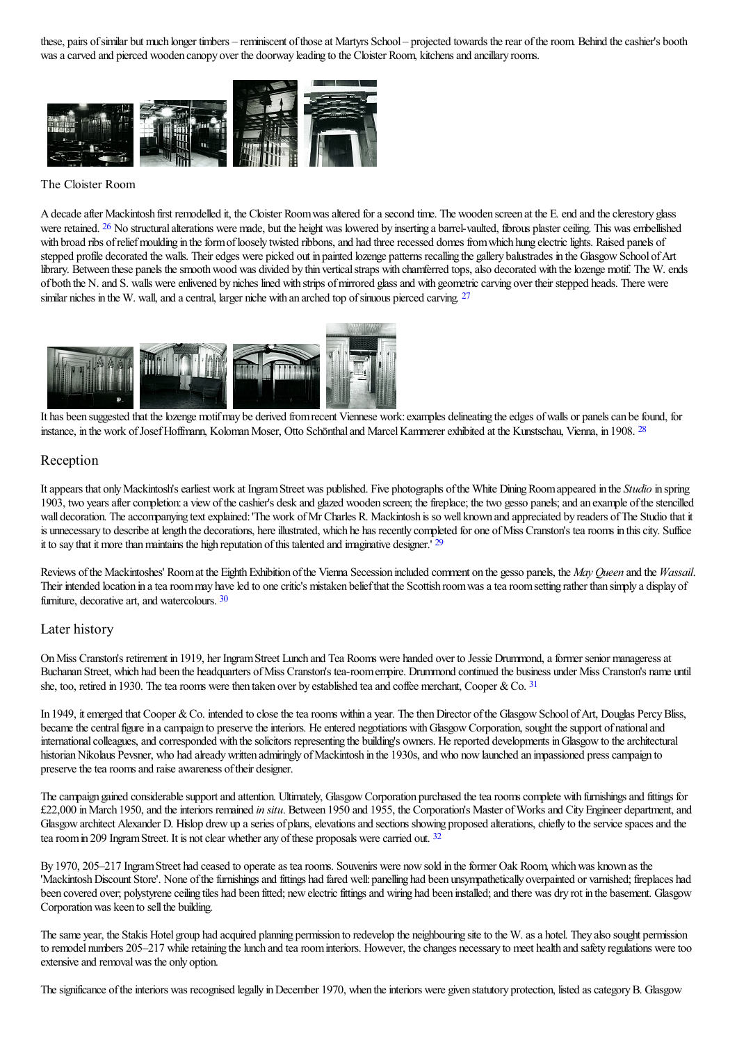these, pairs of similar but much longer timbers – reminiscent of those at Martyrs School – projected towards the rear of the room. Behind the cashier's booth was a carved and pierced wooden canopy over the doorway leading to the Cloister Room, kitchens and ancillary rooms.



#### The Cloister Room

<span id="page-6-0"></span>A decade after Mackintosh first remodelled it, the Cloister Room was altered for a second time. The wooden screen at the E. end and the clerestory glass were retained. <sup>[26](#page-16-18)</sup> No structural alterations were made, but the height was lowered by inserting a barrel-vaulted, fibrous plaster ceiling. This was embellished with broad ribs of relief moulding in the form of loosely twisted ribbons, and had three recessed domes from which hung electric lights. Raised panels of stepped profile decorated the walls. Their edges were picked out in painted lozenge patterns recalling the gallery balustrades in the Glasgow School of Art library. Between these panels the smooth wood was divided by thin vertical straps with chamferred tops, also decorated with the lozenge motif. The W. ends of both the N. and S. walls were enlivened by niches lined with strips of mirrored glass and with geometric carving over their stepped heads. There were similar niches in the W. wall, and a central, larger niche with an arched top of sinuous pierced carving. <sup>[27](#page-16-19)</sup>

<span id="page-6-1"></span>

It has been [suggested](http://www.mackintosh-architecture.gla.ac.uk/catalogue/images/?filename=ph239_032) that the lozenge motifmay be [derived](http://www.mackintosh-architecture.gla.ac.uk/catalogue/images/?filename=ph239_034) from recent [Viennese](http://www.mackintosh-architecture.gla.ac.uk/catalogue/images/?filename=ph239_035) work: examples delineating the edges of walls or panels can be found, for instance, in the work of Josef Hoffmann, Koloman Moser, Otto Schönthal and Marcel Kammerer exhibited at the Kunstschau, Vienna, in 1908. <sup>[28](#page-16-20)</sup>

#### <span id="page-6-2"></span>Reception

Itappears that onlyMackintosh'searliest work at IngramStreet was published. Five photographs ofthe White DiningRoomappeared in the *Studio* in spring 1903, two years after completion: a view of the cashier's desk and glazed wooden screen; the fireplace; the two gesso panels; and an example of the stencilled wall decoration. The accompanying text explained: 'The work of Mr Charles R. Mackintosh is so well known and appreciated by readers of The Studio that it is unnecessary to describe at length the decorations, here illustrated, which he has recently completed for one of Miss Cranston's tea rooms in this city. Suffice it to say that it more than maintains the high reputation of this talented and imaginative designer.'  $29$ 

<span id="page-6-4"></span><span id="page-6-3"></span>Reviews of the Mackintoshes' Room at the Eighth Exhibition of the Vienna Secession included comment on the gesso panels, the *May Queen* and the *Wassail*. Their intended location in a tea room may have led to one critic's mistaken belief that the Scottish room was a tea room setting rather than simply a display of furniture, decorative art, and watercolours. [30](#page-16-22)

#### Later history

<span id="page-6-5"></span>On Miss Cranston's retirement in 1919, her Ingram Street Lunch and Tea Rooms were handed over to Jessie Drummond, a former senior manageress at Buchanan Street, which had been the headquarters ofMiss Cranston's tea-roomempire. Drummond continued the business under Miss Cranston's name until she, too, retired in 1930. The tea rooms were then taken over by established tea and coffee merchant, Cooper & Co.  $31$ 

In 1949, it emerged that Cooper & Co. intended to close the tea rooms within a year. The then Director of the Glasgow School of Art, Douglas Percy Bliss, became the central figure in a campaign to preserve the interiors. He entered negotiations with Glasgow Corporation, sought the support of national and international colleagues, and corresponded with the solicitors representing the building's owners. He reported developments in Glasgow to the architectural historian Nikolaus Pevsner, who had already written admiringly of Mackintosh in the 1930s, and who now launched an impassioned press campaign to preserve the tea rooms and raise awareness of their designer.

The campaign gained considerable support and attention. Ultimately, Glasgow Corporation purchased the tea rooms complete with furnishings and fittings for £22,000 in March 1950, and the interiors remained *in situ*. Between 1950 and 1955, the Corporation's Master of Works and City Engineer department, and Glasgow architect Alexander D. Hislop drew up a series of plans, elevations and sections showing proposed alterations, chiefly to the service spaces and the tea room in 209 Ingram Street. It is not clear whether any of these proposals were carried out. [32](#page-16-24)

<span id="page-6-6"></span>By 1970, 205–217 Ingram Street had ceased to operate as tea rooms. Souvenirs were now sold in the former Oak Room, which was known as the 'Mackintosh Discount Store'. None of the furnishings and fittings had fared well: panelling had been unsympathetically overpainted or varnished; fireplaces had been covered over; polystyrene ceiling tiles had been fitted; new electric fittings and wiring had been installed; and there was dry rot in the basement. Glasgow Corporation was keen to sell the building.

The same year, the Stakis Hotel group had acquired planning permission to redevelop the neighbouring site to the W. as a hotel. They also sought permission to remodel numbers 205–217 while retaining the lunch and tea room interiors. However, the changes necessary to meet health and safety regulations were too extensive and removal was the only option.

The significance of the interiors was recognised legally in December 1970, when the interiors were given statutory protection, listed as category B. Glasgow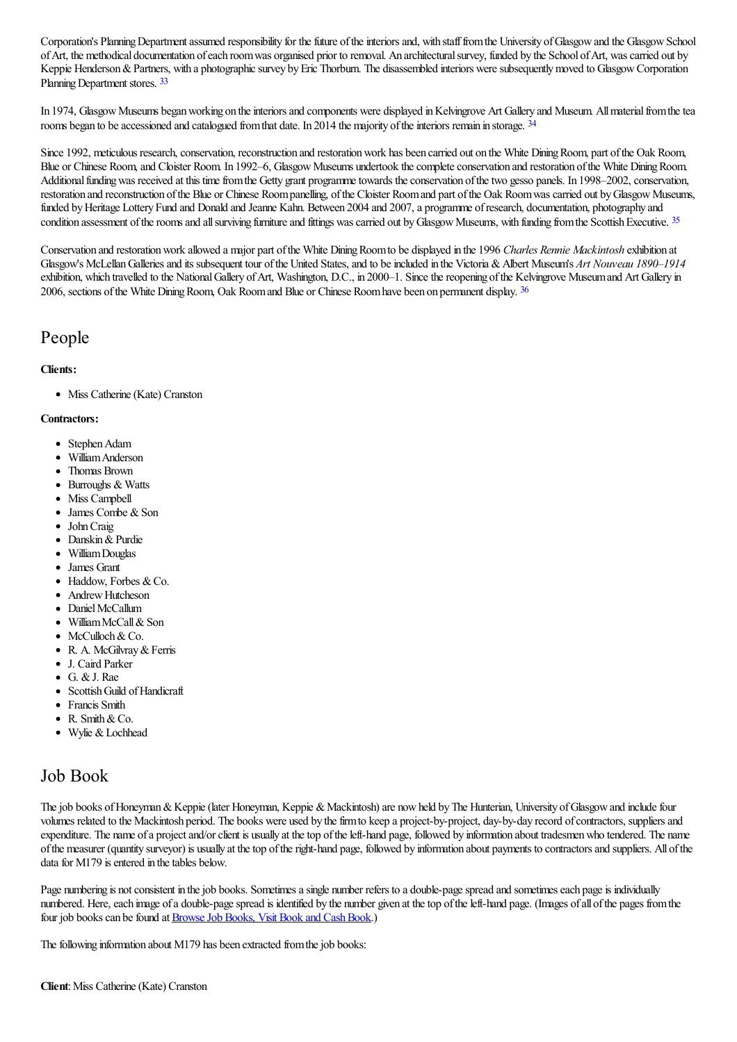Corporation's Planning Department assumed responsibility for the future of the interiors and, with staff from the University of Glasgow and the Glasgow School ofArt, the methodical documentation ofeach roomwas organised prior to removal. An architecturalsurvey, funded by the School ofArt, wascarried out by Keppie Henderson & Partners, with a photographic survey by Eric Thorburn. The disassembled interiors were subsequently moved to Glasgow Corporation Planning Department stores. [33](#page-17-0)

<span id="page-7-1"></span><span id="page-7-0"></span>In 1974, Glasgow Museums began working on the interiors and components were displayed in Kelvingrove Art Gallery and Museum. All material from the tea rooms began to be accessioned and catalogued from that date. In 2014 the majority of the interiors remain in storage. <sup>[34](#page-17-1)</sup>

Since 1992, meticulous research, conservation, reconstruction and restoration work has been carried out on the White Dining Room, part of the Oak Room, Blue or Chinese Room, and Cloister Room. In 1992–6, Glasgow Museums undertook the complete conservation and restoration of the White Dining Room. Additional funding was received at this time from the Getty grant programme towards the conservation of the two gesso panels. In 1998–2002, conservation, restoration and reconstruction of the Blue or Chinese Room panelling, of the Cloister Room and part of the Oak Room was carried out by Glasgow Museums, funded by Heritage Lottery Fund and Donald and Jeanne Kahn. Between 2004 and 2007, a programme of research, documentation, photography and condition assessment of the rooms and all surviving furniture and fittings was carried out by Glasgow Museums, with funding from the Scottish Executive. [35](#page-17-2)

<span id="page-7-2"></span>Conservation and restorationwork allowed a major part ofthe White DiningRoomto be displayed in the 1996 *Charles Rennie Mackintosh* exhibition at Glasgow's McLellan Galleries and its subsequent tour of the United States, and to be included in the Victoria & Albert Museum's Art Nouveau 1890–1914 exhibition, which travelled to the National Gallery of Art, Washington, D.C., in 2000-1. Since the reopening of the Kelvingrove Museum and Art Gallery in 2006, sections of the White Dining Room, Oak Room and Blue or Chinese Room have been on permanent display. <sup>[36](#page-17-3)</sup>

## People

#### **Clients:**

<span id="page-7-3"></span>• Miss Catherine (Kate) Cranston

#### **Contractors:**

- Stephen Adam
- WilliamAnderson
- Thomas Brown
- Burroughs & Watts
- Miss Campbell
- $\bullet$  James Combe & Son
- John Craig
- Danskin & Purdie
- WilliamDouglas
- James Grant
- $\bullet$  Haddow, Forbes & Co.
- Andrew Hutcheson
- Daniel McCallum
- $\bullet$  William McCall & Son
- $\bullet$  McCulloch & Co.
- R. A. McGilvray&Ferris
- J. Caird Parker
- $\bullet$  G. & J. Rae
- Scottish Guild of Handicraft
- Francis Smith
- R. Smith&Co.
- Wylie & Lochhead

## Job Book

The job books of Honeyman & Keppie (later Honeyman, Keppie & Mackintosh) are now held by The Hunterian, University of Glasgow and include four volumes related to the Mackintosh period. The books were used by the firm to keep a project-by-project, day-by-day record of contractors, suppliers and expenditure. The name of a project and/or client is usually at the top of the left-hand page, followed by information about tradesmen who tendered. The name ofthe measurer (quantity surveyor) is usually at thetop oftheright-hand page, followed by information about payments to contractorsand suppliers. All ofthe data for  $M179$  is entered in the tables below.

Page numbering is not consistent in the job books. Sometimes a single number refers to a double-page spread and sometimes each page is individually numbered. Here, each image of a double-page spread is identified by the number given at the top of the left-hand page. (Images of all of the pages from the four job books can be found at **Browse Job Books**, Visit Book and Cash Book.)

The following information about M179 has been extracted from the job books: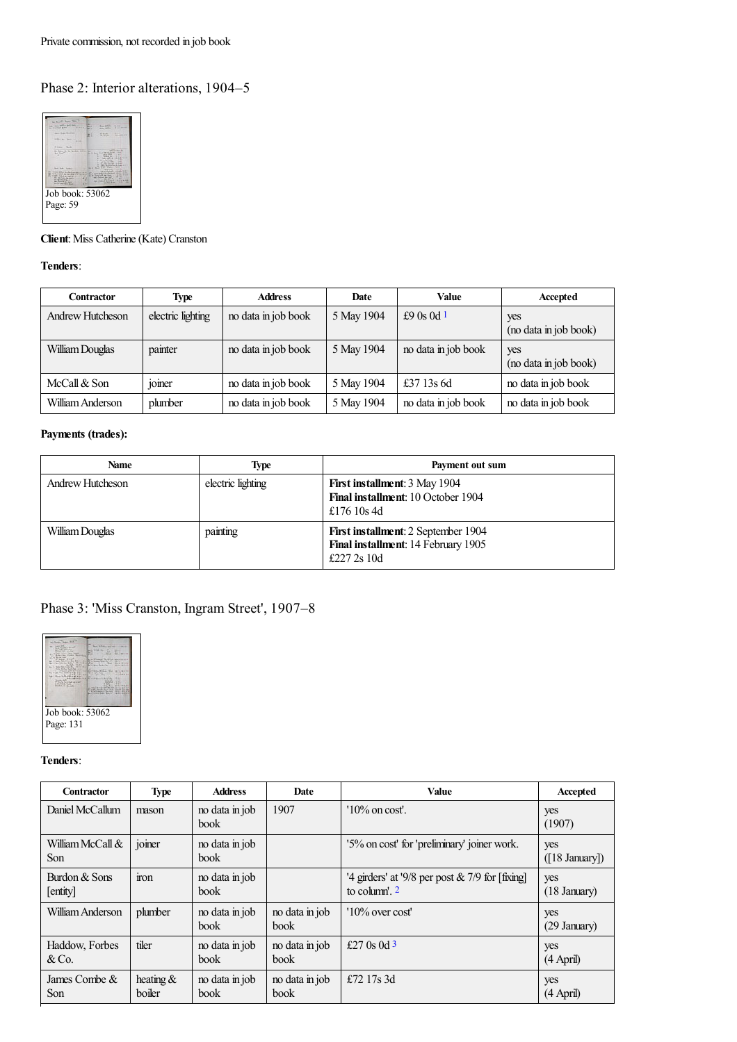## Phase 2: Interior alterations, 1904–5



**Client**: Miss Catherine (Kate) Cranston

#### **Tenders**:

<span id="page-8-0"></span>

| <b>Contractor</b> | <b>Type</b>                          | <b>Address</b>      | Date       | <b>Value</b>        | Accepted                     |
|-------------------|--------------------------------------|---------------------|------------|---------------------|------------------------------|
| Andrew Hutcheson  | electric lighting                    | no data in job book | 5 May 1904 | £9 $0s$ $0d$ 1      | yes<br>(no data in job book) |
| William Douglas   | painter                              | no data in job book | 5 May 1904 | no data in job book | yes<br>(no data in job book) |
| McCall $&$ Son    | $\cdot$ $\cdot$<br><sub>10</sub> mer | no data in job book | 5 May 1904 | £37 13s 6d          | no data in job book          |
| William Anderson  | plumber                              | no data in job book | 5 May 1904 | no data in job book | no data in job book          |

#### **Payments (trades):**

| <b>Name</b>             | <b>Type</b>       | Payment out sum                                                                           |
|-------------------------|-------------------|-------------------------------------------------------------------------------------------|
| <b>Andrew Hutcheson</b> | electric lighting | <b>First installment: 3 May 1904</b><br>Final installment: 10 October 1904<br>£176 10s 4d |
| William Douglas         | painting          | First installment: 2 September 1904<br>Final installment: 14 February 1905<br>£227 2s 10d |

## Phase 3: 'Miss Cranston, Ingram Street', 1907–8



**Tenders**:

<span id="page-8-2"></span><span id="page-8-1"></span>

| Contractor                       | <b>Type</b>           | <b>Address</b>                | <b>Date</b>                   | Value                                                                | Accepted              |
|----------------------------------|-----------------------|-------------------------------|-------------------------------|----------------------------------------------------------------------|-----------------------|
| Daniel McCallum                  | mason                 | no data in job<br><b>book</b> | 1907                          | $10\%$ on cost'.                                                     | yes<br>(1907)         |
| William McCall &<br>Son          | joiner                | no data in job<br><b>book</b> |                               | '5% on cost' for 'preliminary' joiner work.                          | yes<br>([18 January]) |
| Burdon & Sons<br>[entity]        | $\frac{1}{2}$         | no data in job<br>book        |                               | '4 girders' at '9/8 per post $& 7/9$ for [fixing]<br>to column'. $2$ | yes<br>(18 January)   |
| William Anderson                 | plumber               | no data in job<br><b>book</b> | no data in job<br><b>book</b> | $10\%$ over cost                                                     | yes<br>(29 January)   |
| Haddow, Forbes<br>$&\mathrm{Co}$ | tiler                 | no data in job<br><b>book</b> | no data in job<br><b>book</b> | £27 0s 0d $3$                                                        | yes<br>(4 April)      |
| James Combe &<br>Son             | heating $&$<br>boiler | no data in job<br>book        | no data in job<br>book        | £72 17s 3d                                                           | yes<br>(4 April)      |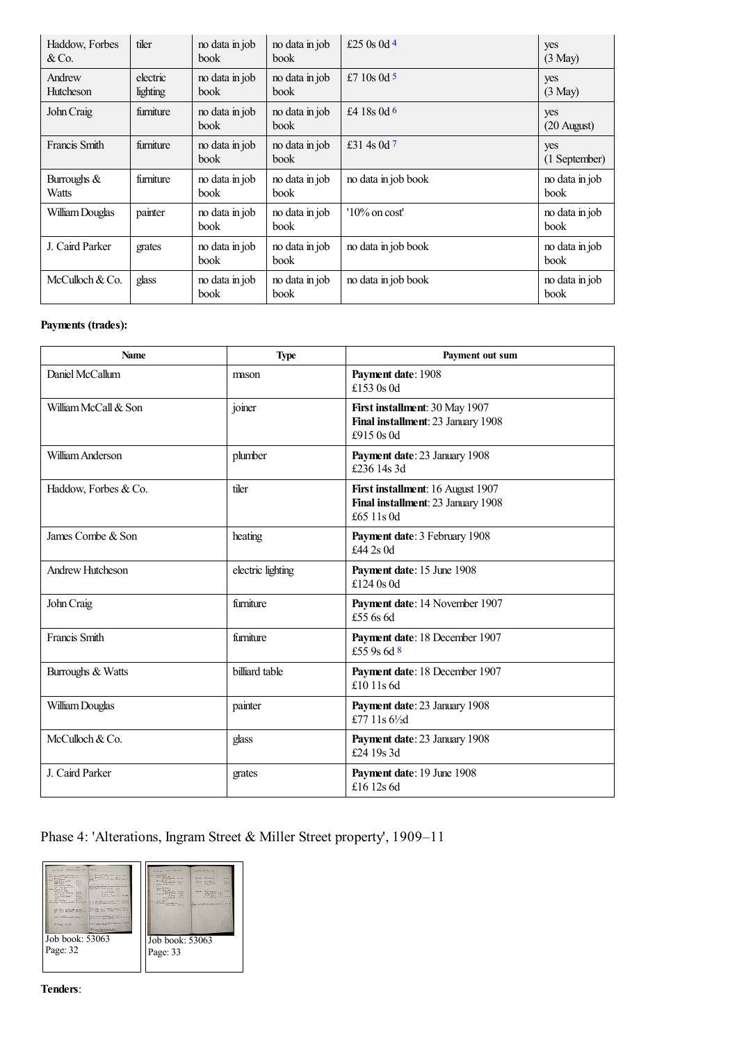<span id="page-9-3"></span><span id="page-9-2"></span><span id="page-9-1"></span><span id="page-9-0"></span>

| Haddow, Forbes<br>&Co.     | tiler                | no data in job<br>book | no data in job<br>book | £25 0s 0d 4         | yes<br>$(3$ May $)$    |
|----------------------------|----------------------|------------------------|------------------------|---------------------|------------------------|
| Andrew<br><b>Hutcheson</b> | electric<br>lighting | no data in job<br>book | no data in job<br>book | £7 10s 0d 5         | yes<br>$(3$ May $)$    |
| John Craig                 | furniture            | no data in job<br>book | no data in job<br>book | £4 18s 0d 6         | yes<br>(20 August)     |
| Francis Smith              | furniture            | no data in job<br>book | no data in job<br>book | £31 4s 0d $7$       | yes<br>(1 September)   |
| Burroughs $&$<br>Watts     | furniture            | no data in job<br>book | no data in job<br>book | no data in job book | no data in job<br>book |
| William Douglas            | painter              | no data in job<br>book | no data in job<br>book | $10\%$ on cost'     | no data in job<br>book |
| J. Caird Parker            | grates               | no data in job<br>book | no data in job<br>book | no data in job book | no data in job<br>book |
|                            |                      |                        |                        |                     |                        |

### **Payments (trades):**

| Name                 | <b>Type</b>       | Payment out sum                                                                       |
|----------------------|-------------------|---------------------------------------------------------------------------------------|
| Daniel McCallum      | mason             | Payment date: 1908<br>£153 0s 0d                                                      |
| William McCall & Son | joiner            | First installment: 30 May 1907<br>Final installment: 23 January 1908<br>£915 0s 0d    |
| William Anderson     | plumber           | Payment date: 23 January 1908<br>£236 14s 3d                                          |
| Haddow, Forbes & Co. | tiler             | First installment: 16 August 1907<br>Final installment: 23 January 1908<br>£65 11s 0d |
| James Combe & Son    | heating           | Payment date: 3 February 1908<br>£44 2s $0d$                                          |
| Andrew Hutcheson     | electric lighting | Payment date: 15 June 1908<br>£124 $0s$ 0d                                            |
| John Craig           | furniture         | Payment date: 14 November 1907<br>£55 6s 6d                                           |
| Francis Smith        | furniture         | Payment date: 18 December 1907<br>£55 9s 6d 8                                         |
| Burroughs & Watts    | billiard table    | Payment date: 18 December 1907<br>£10 11s $6d$                                        |
| William Douglas      | painter           | Payment date: 23 January 1908<br>£77 11s $6\frac{1}{2}d$                              |
| McCulloch & Co.      | glass             | Payment date: 23 January 1908<br>£24 19s 3d                                           |
| J. Caird Parker      | grates            | Payment date: 19 June 1908<br>£16 12s 6d                                              |

<span id="page-9-4"></span>Phase 4: 'Alterations, Ingram Street & Miller Street property', 1909–11



**Tenders**: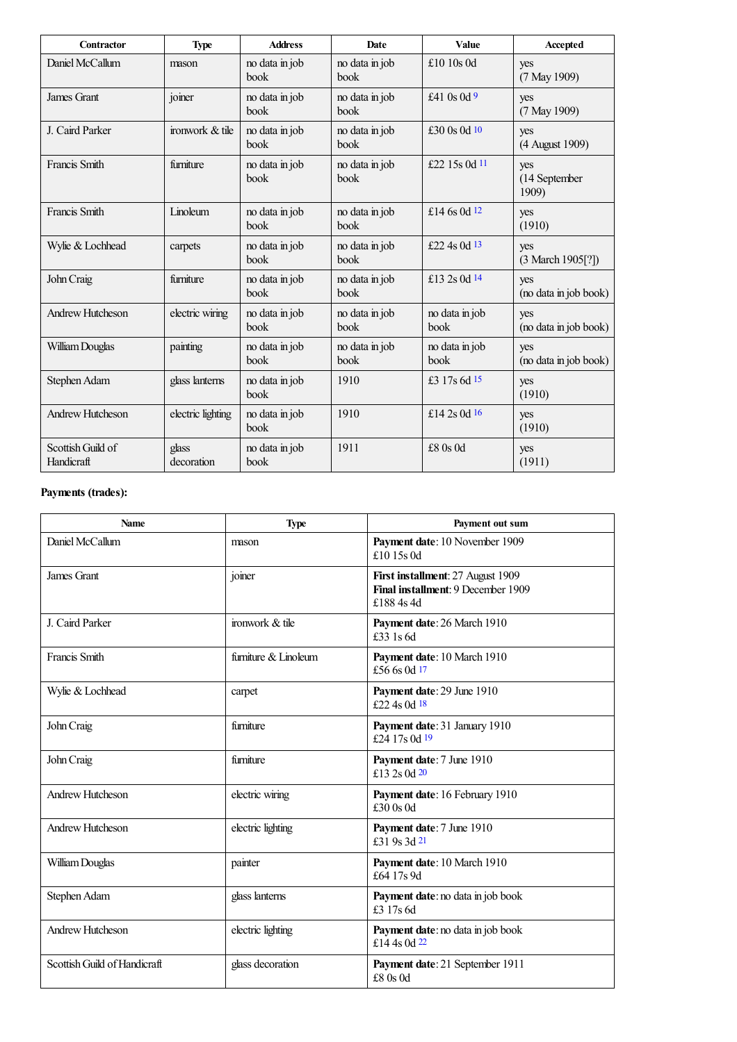<span id="page-10-4"></span><span id="page-10-3"></span><span id="page-10-2"></span><span id="page-10-1"></span><span id="page-10-0"></span>

| <b>Contractor</b>               | <b>Type</b>         | <b>Address</b>         | Date                   | Value                  | Accepted                            |
|---------------------------------|---------------------|------------------------|------------------------|------------------------|-------------------------------------|
| Daniel McCallum                 | mason               | no data in job<br>book | no data in job<br>book | £10 10s 0d             | yes<br>(7 May 1909)                 |
| James Grant                     | joiner              | no data in job<br>book | no data in job<br>book | £41 0s 0d 9            | yes<br>$(7$ May 1909)               |
| J. Caird Parker                 | ironwork & tile     | no data in job<br>book | no data in job<br>book | £30 $0s$ 0d $10$       | yes<br>(4 August 1909)              |
| Francis Smith                   | furniture           | no data in job<br>book | no data in job<br>book | £22 15s 0d 11          | yes<br>(14 September<br>1909)       |
| Francis Smith                   | Linoleum            | no data in job<br>book | no data in job<br>book | £14 6s 0d $12$         | yes<br>(1910)                       |
| Wylie & Lochhead                | carpets             | no data in job<br>book | no data in job<br>book | £22 4s 0d 13           | yes<br>$(3 \text{ March } 1905[?])$ |
| John Craig                      | furniture           | no data in job<br>book | no data in job<br>book | £13 2s 0d 14           | yes<br>(no data in job book)        |
| Andrew Hutcheson                | electric wiring     | no data in job<br>book | no data in job<br>book | no data in job<br>book | yes<br>(no data in job book)        |
| William Douglas                 | painting            | no data in job<br>book | no data in job<br>book | no data in job<br>book | yes<br>(no data in job book)        |
| Stephen Adam                    | glass lanterns      | no data in job<br>book | 1910                   | £3 17s 6d 15           | yes<br>(1910)                       |
| Andrew Hutcheson                | electric lighting   | no data in job<br>book | 1910                   | £14 2s 0d $16$         | yes<br>(1910)                       |
| Scottish Guild of<br>Handicraft | glass<br>decoration | no data in job<br>book | 1911                   | $£8$ 0s 0d             | yes<br>(1911)                       |

### <span id="page-10-7"></span><span id="page-10-6"></span><span id="page-10-5"></span>**Payments (trades):**

<span id="page-10-13"></span><span id="page-10-12"></span><span id="page-10-11"></span><span id="page-10-10"></span><span id="page-10-9"></span><span id="page-10-8"></span>

| <b>Name</b>                  | <b>Type</b>          | Payment out sum                                                                       |
|------------------------------|----------------------|---------------------------------------------------------------------------------------|
| Daniel McCallum              | mason                | Payment date: 10 November 1909<br>£10 15s 0d                                          |
| James Grant                  | joiner               | First installment: 27 August 1909<br>Final installment: 9 December 1909<br>£188 4s 4d |
| J. Caird Parker              | ironwork & tile      | Payment date: 26 March 1910<br>£33 1s 6d                                              |
| Francis Smith                | furniture & Linoleum | Payment date: 10 March 1910<br>£56 6s 0d 17                                           |
| Wylie & Lochhead             | carpet               | Payment date: 29 June 1910<br>£22.4s 0d 18                                            |
| John Craig                   | furniture            | Payment date: 31 January 1910<br>£24 17s 0d 19                                        |
| John Craig                   | furniture            | Payment date: 7 June 1910<br>£13 2s 0d 20                                             |
| <b>Andrew Hutcheson</b>      | electric wiring      | Payment date: 16 February 1910<br>$£30$ 0s 0d                                         |
| Andrew Hutcheson             | electric lighting    | Payment date: 7 June 1910<br>£31 9s 3d 21                                             |
| William Douglas              | painter              | Payment date: 10 March 1910<br>£64 17s 9d                                             |
| Stephen Adam                 | glass lanterns       | Payment date: no data in job book<br>£3 17s 6d                                        |
| <b>Andrew Hutcheson</b>      | electric lighting    | Payment date: no data in job book<br>£14 4s 0d 22                                     |
| Scottish Guild of Handicraft | glass decoration     | Payment date: 21 September 1911<br>£80s 0d                                            |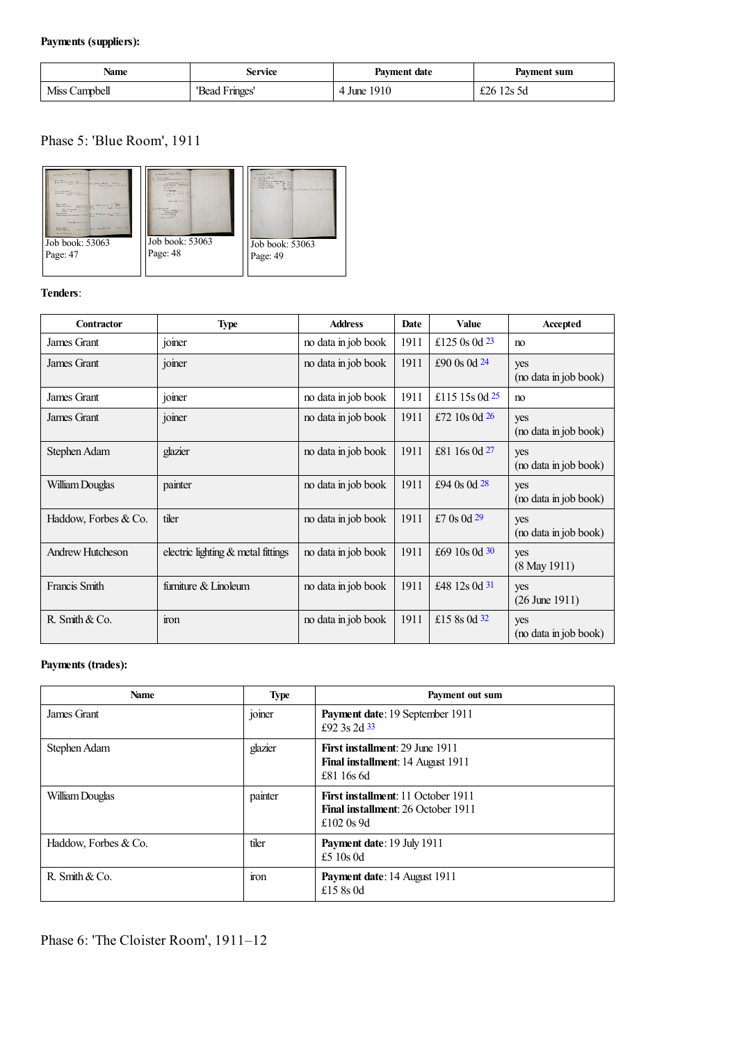### **Payments (suppliers):**

| Name          | Service        | Payment date | Payment sum |
|---------------|----------------|--------------|-------------|
| Miss Campbell | 'Bead Fringes' | 4 June 1910  | £26 12s 5d  |

### Phase 5: 'Blue Room', 1911



#### **Tenders**:

<span id="page-11-5"></span><span id="page-11-4"></span><span id="page-11-3"></span><span id="page-11-2"></span><span id="page-11-1"></span><span id="page-11-0"></span>

| Contractor              | Type                                 | <b>Address</b>      | Date | <b>Value</b>     | Accepted                     |
|-------------------------|--------------------------------------|---------------------|------|------------------|------------------------------|
| James Grant             | joiner                               | no data in job book | 1911 | £125 0s 0d $23$  | no                           |
| James Grant             | joiner                               | no data in job book | 1911 | £90 $0s$ 0d $24$ | yes<br>(no data in job book) |
| James Grant             | joiner                               | no data in job book | 1911 | £115 15s 0d $25$ | no                           |
| James Grant             | joiner                               | no data in job book | 1911 | £72 10s 0d $26$  | yes<br>(no data in job book) |
| Stephen Adam            | glazier                              | no data in job book | 1911 | £81 16s 0d 27    | yes<br>(no data in job book) |
| William Douglas         | painter                              | no data in job book | 1911 | £94 $0s$ 0d $28$ | yes<br>(no data in job book) |
| Haddow, Forbes & Co.    | tiler                                | no data in job book | 1911 | £7 $0s$ 0d 29    | yes<br>(no data in job book) |
| <b>Andrew Hutcheson</b> | electric lighting $&$ metal fittings | no data in job book | 1911 | £69 10s 0d 30    | yes<br>$(8$ May 1911)        |
| Francis Smith           | furniture & Linoleum                 | no data in job book | 1911 | £48 12s 0d 31    | yes<br>$(26$ June 1911)      |
| R. Smith $& Co.$        | iron                                 | no data in job book | 1911 | £15 8s 0d 32     | yes<br>(no data in job book) |

### <span id="page-11-9"></span><span id="page-11-8"></span><span id="page-11-7"></span><span id="page-11-6"></span>**Payments (trades):**

<span id="page-11-10"></span>

| <b>Name</b>          | <b>Type</b>   | Payment out sum                                                                                        |
|----------------------|---------------|--------------------------------------------------------------------------------------------------------|
| James Grant          | . .<br>joiner | Payment date: 19 September 1911<br>£92.3s $2d$ 33                                                      |
| Stephen Adam         | glazier       | <b>First installment: 29 June 1911</b><br><b>Final installment:</b> 14 August 1911<br>£81 16s 6d       |
| William Douglas      | painter       | <b>First installment: 11 October 1911</b><br><b>Final installment:</b> 26 October 1911<br>£102 $0s$ 9d |
| Haddow, Forbes & Co. | tiler         | Payment date: 19 July 1911<br>£5 10s $0d$                                                              |
| R. Smith $& Co.$     | ron           | Payment date: 14 August 1911<br>£15 $8s$ 0d                                                            |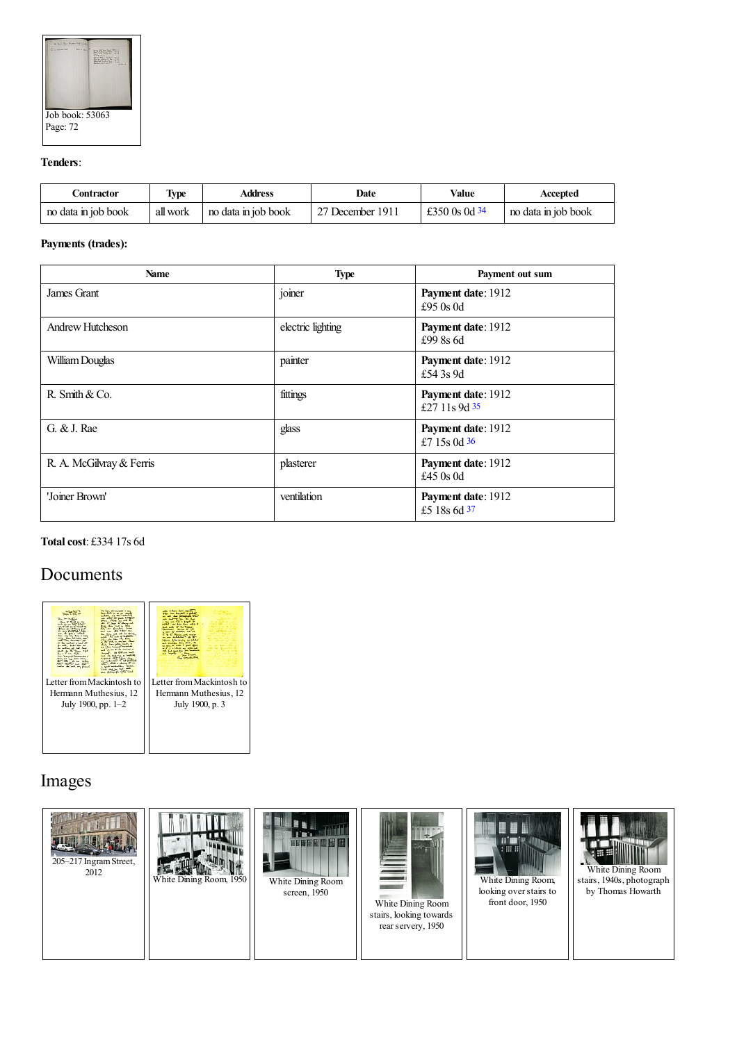

#### **Tenders**:

<span id="page-12-0"></span>

| Contractor          | <b>Type</b> | Address             | Date             | Value           | Accepted            |
|---------------------|-------------|---------------------|------------------|-----------------|---------------------|
| no data in job book | all work    | no data in job book | 27 December 1911 | £350 0s 0d $34$ | no data in job book |

#### **Payments (trades):**

| <b>Name</b>              | <b>Type</b>       | Payment out sum                       |
|--------------------------|-------------------|---------------------------------------|
| James Grant              | joiner            | Payment date: 1912<br>£95 $0s$ 0d     |
| <b>Andrew Hutcheson</b>  | electric lighting | Payment date: 1912<br>£99 8s 6d       |
| William Douglas          | painter           | Payment date: 1912<br>£54 3s 9d       |
| R. Smith $& Co.$         | fittings          | Payment date: 1912<br>£27 11s 9d $35$ |
| G. & J. Rae              | glass             | Payment date: 1912<br>£7 15s 0d $36$  |
| R. A. McGilvray & Ferris | plasterer         | Payment date: 1912<br>£45 $0s$ 0d     |
| 'Joiner Brown'           | ventilation       | Payment date: 1912<br>£5 18s 6d 37    |

#### <span id="page-12-3"></span><span id="page-12-2"></span><span id="page-12-1"></span>**Totalcost**: £334 17s 6d

## Documents



## Images

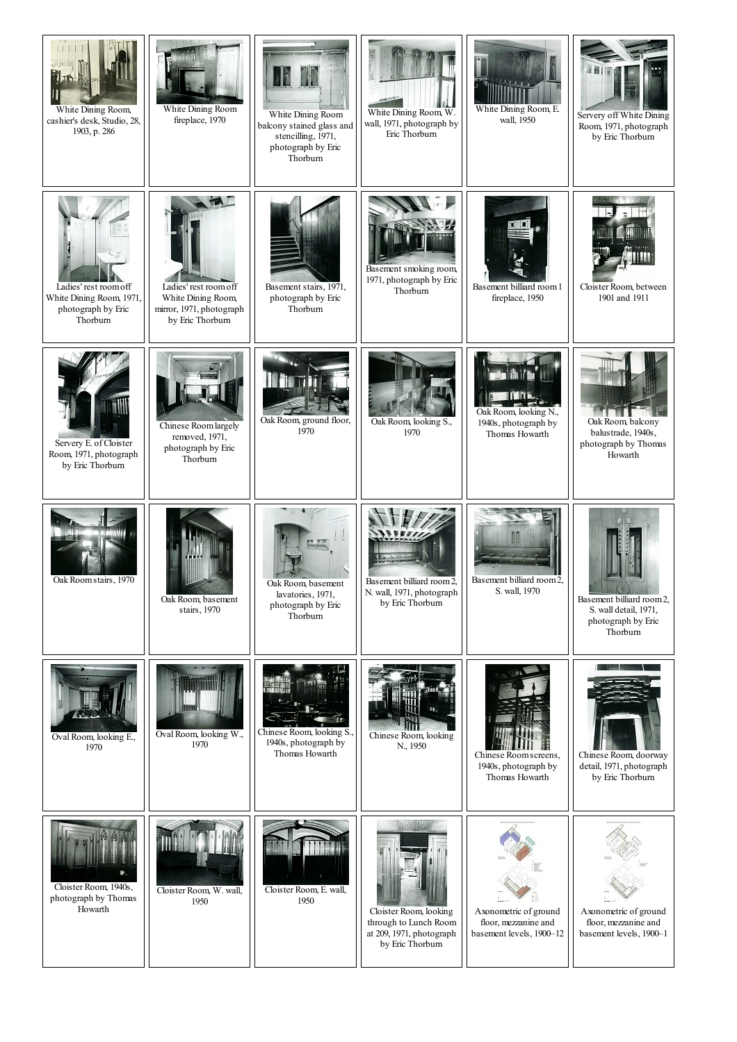| White Dining Room,<br>cashier's desk, Studio, 28,<br>1903, p. 286                   | White Dining Room<br>fireplace, 1970                                                        | I<br>SP<br>White Dining Room<br>balcony stained glass and<br>stencilling, 1971,<br>photograph by Eric<br>Thorburn | White Dining Room, W.<br>wall, 1971, photograph by<br>Eric Thorburn                             | White Dining Room, E.<br>wall, 1950                                       | Servery off White Dining<br>Room, 1971, photograph<br>by Eric Thorburn               |
|-------------------------------------------------------------------------------------|---------------------------------------------------------------------------------------------|-------------------------------------------------------------------------------------------------------------------|-------------------------------------------------------------------------------------------------|---------------------------------------------------------------------------|--------------------------------------------------------------------------------------|
| Ladies' rest room off<br>White Dining Room, 1971,<br>photograph by Eric<br>Thorburn | Ladies' rest room off<br>White Dining Room,<br>mirror, 1971, photograph<br>by Eric Thorburn | Basement stairs, 1971,<br>photograph by Eric<br>Thorburn                                                          | Basement smoking room,<br>1971, photograph by Eric<br>Thorburn                                  | Basement billiard room 1<br>fireplace, 1950                               | Cloister Room, between<br>1901 and 1911                                              |
| Servery E. of Cloister<br>Room, 1971, photograph<br>by Eric Thorburn                | Chinese Roomlargely<br>removed, 1971,<br>photograph by Eric<br>Thorburn                     | Oak Room, ground floor,<br>1970                                                                                   | Oak Room, looking S.,<br>1970                                                                   | Oak Room, looking N.,<br>1940s, photograph by<br>Thomas Howarth           | Oak Room, balcony<br>balustrade, 1940s,<br>photograph by Thomas<br>Howarth           |
| Oak Room stairs, 1970                                                               | Oak Room, basement<br>stairs, 1970                                                          | Oak Room, basement<br>lavatories, 1971,<br>photograph by Eric<br>Thorburn                                         | Basement billiard room 2,<br>N. wall, 1971, photograph<br>by Eric Thorburn                      | Basement billiard room 2,<br>S. wall, 1970                                | Basement billiard room 2,<br>S. wall detail, 1971,<br>photograph by Eric<br>Thorburn |
| Oval Room, looking E.,<br>1970                                                      | Oval Room, looking W.,<br>1970                                                              | Chinese Room, looking S.<br>1940s, photograph by<br>Thomas Howarth                                                | Chinese Room, looking<br>N., 1950                                                               | Chinese Room screens,<br>1940s, photograph by<br>Thomas Howarth           | Chinese Room, doorway<br>detail, 1971, photograph<br>by Eric Thorburn                |
| Cloister Room, 1940s,<br>photograph by Thomas<br>Howarth                            | Cloister Room, W. wall,<br>1950                                                             | Cloister Room, E. wall,<br>1950                                                                                   | Cloister Room, looking<br>through to Lunch Room<br>at 209, 1971, photograph<br>by Eric Thorburn | Axonometric of ground<br>floor, mezzanine and<br>basement levels, 1900-12 | Axonometric of ground<br>floor, mezzanine and<br>basement levels, 1900-1             |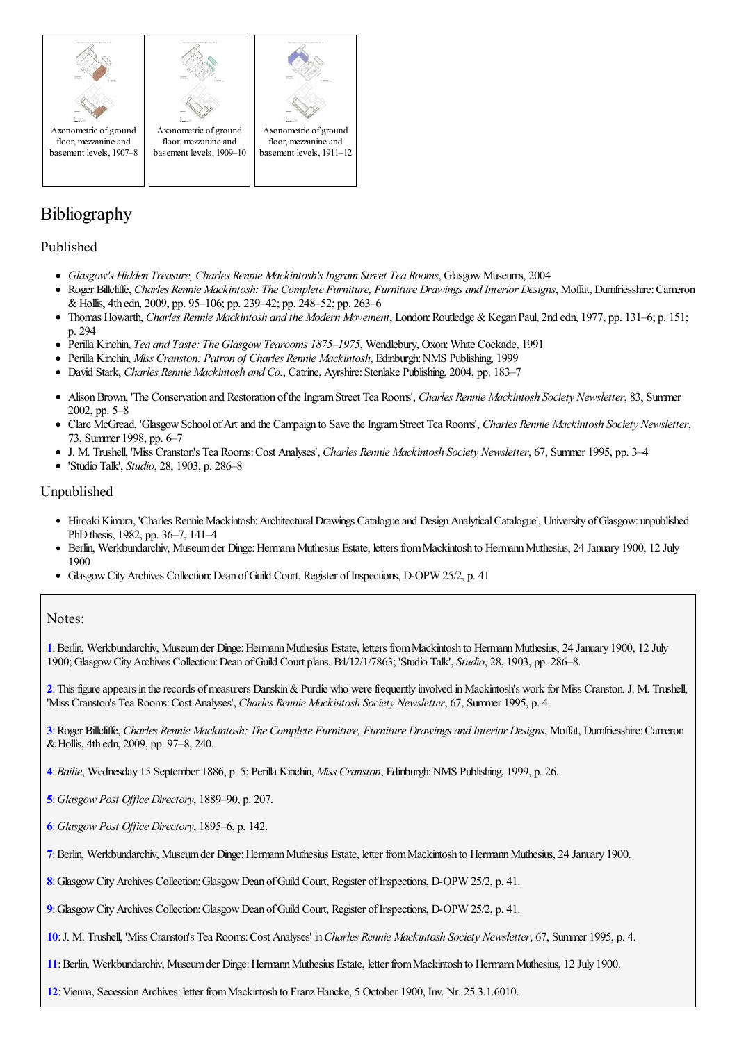

floor, mezzanine and basement levels, 1907–8



Ax[onometric](http://www.mackintosh-architecture.gla.ac.uk/catalogue/images/?filename=x239_008) of ground floor, mezzanine and basement levels, 1909–10



## Bibliography

#### Published

- *Glasgow's Hidden Treasure, Charles Rennie Mackintosh's Ingram Street Tea Rooms*, GlasgowMuseums, 2004
- Roger Billcliffe, *Charles Rennie Mackintosh: The Complete Furniture, Furniture Drawings and Interior Designs*, Moffat, Dumfriesshire:Cameron  $\bullet$ &Hollis, 4th edn, 2009, pp. 95–106; pp. 239–42; pp. 248–52; pp. 263–6
- Thomas Howarth, *Charles Rennie Mackintosh and the Modern Movement*, London:Routledge &Kegan Paul, 2nd edn, 1977, pp. 131–6; p. 151; p. 294
- Perilla Kinchin, *Tea and Taste: The Glasgow Tearooms 1875–1975*, Wendlebury, Oxon:White Cockade, 1991
- Perilla Kinchin, *Miss Cranston: Patron of Charles Rennie Mackintosh*, Edinburgh:NMS Publishing, 1999
- David Stark, *Charles Rennie Mackintosh and Co.*, Catrine, Ayrshire:Stenlake Publishing, 2004, pp. 183–7
- AlisonBrown, 'The Conservation and Restoration oftheIngramStreet Tea Rooms', *Charles Rennie Mackintosh Society Newsletter*, 83, Summer 2002, pp. 5–8
- Clare McGread, 'GlasgowSchool ofArtand the Campaign to SavetheIngramStreet Tea Rooms', *Charles Rennie Mackintosh Society Newsletter*, 73, Summer 1998, pp. 6–7
- J. M. Trushell, 'Miss Cranston's Tea Rooms:Cost Analyses', *Charles Rennie Mackintosh Society Newsletter*, 67, Summer 1995, pp. 3–4
- 'Studio Talk', *Studio*, 28, 1903, p. 286–8

#### Unpublished

- Hiroaki Kimura, 'Charles Rennie Mackintosh: Architectural Drawings Catalogue and Design Analytical Catalogue', University of Glasgow: unpublished PhD thesis, 1982, pp. 36–7, 141–4
- Berlin, Werkbundarchiv, Museum der Dinge: Hermann Muthesius Estate, letters from Mackintosh to Hermann Muthesius, 24 January 1900, 12 July 1900
- Glasgow City Archives Collection: Dean of Guild Court, Register of Inspections, D-OPW 25/2, p. 41

#### Notes:

<span id="page-14-0"></span>[1](#page-0-0): Berlin, Werkbundarchiv, Museum der Dinge: Hermann Muthesius Estate, letters from Mackintosh to Hermann Muthesius, 24 January 1900, 12 July 1900; GlasgowCityArchives Collection:Dean ofGuild Court plans, B4/12/1/7863; 'Studio Talk', *Studio*, 28, 1903, pp. 286–8.

<span id="page-14-1"></span>**[2](#page-0-1)**:This figureappears in therecords ofmeasurers Danskin&Purdie who werefrequently involved inMackintosh's work for Miss Cranston. J. M. Trushell, 'Miss Cranston's Tea Rooms:Cost Analyses', *Charles Rennie Mackintosh Society Newsletter*, 67, Summer 1995, p. 4.

<span id="page-14-2"></span>[3](#page-0-2): Roger Billcliffe, Charles Rennie Mackintosh: The Complete Furniture, Furniture Drawings and Interior Designs, Moffat, Dumfriesshire: Cameron &Hollis, 4th edn, 2009, pp. 97–8, 240.

<span id="page-14-3"></span>**[4](#page-0-3)**:*Bailie*, Wednesday 15 September 1886, p. 5; Perilla Kinchin, *Miss Cranston*, Edinburgh:NMS Publishing, 1999, p. 26.

- <span id="page-14-4"></span>**[5](#page-0-4)**:*Glasgow Post Of ice Directory*, 1889–90, p. 207.
- <span id="page-14-5"></span>**[6](#page-0-5)**:*Glasgow Post Of ice Directory*, 1895–6, p. 142.
- <span id="page-14-6"></span>**[7](#page-0-6)**:Berlin, Werkbundarchiv, Museumder Dinge:HermannMuthesius Estate, letter fromMackintosh to HermannMuthesius, 24 January 1900.
- <span id="page-14-7"></span>[8](#page-0-7): Glasgow City Archives Collection: Glasgow Dean of Guild Court, Register of Inspections, D-OPW 25/2, p. 41.
- <span id="page-14-8"></span>**[9](#page-0-8)**:GlasgowCityArchives Collection:GlasgowDean ofGuild Court, Register ofInspections, D-OPW 25/2, p. 41.
- <span id="page-14-9"></span>**[10](#page-0-9)**:J. M. Trushell, 'Miss Cranston's Tea Rooms:Cost Analyses' in*Charles Rennie Mackintosh Society Newsletter*, 67, Summer 1995, p. 4.
- <span id="page-14-10"></span>[11](#page-0-10): Berlin, Werkbundarchiv, Museum der Dinge: Hermann Muthesius Estate, letter from Mackintosh to Hermann Muthesius, 12 July 1900.
- <span id="page-14-11"></span>[12](#page-0-11): Vienna, Secession Archives: letter from Mackintosh to Franz Hancke, 5 October 1900, Inv. Nr. 25.3.1.6010.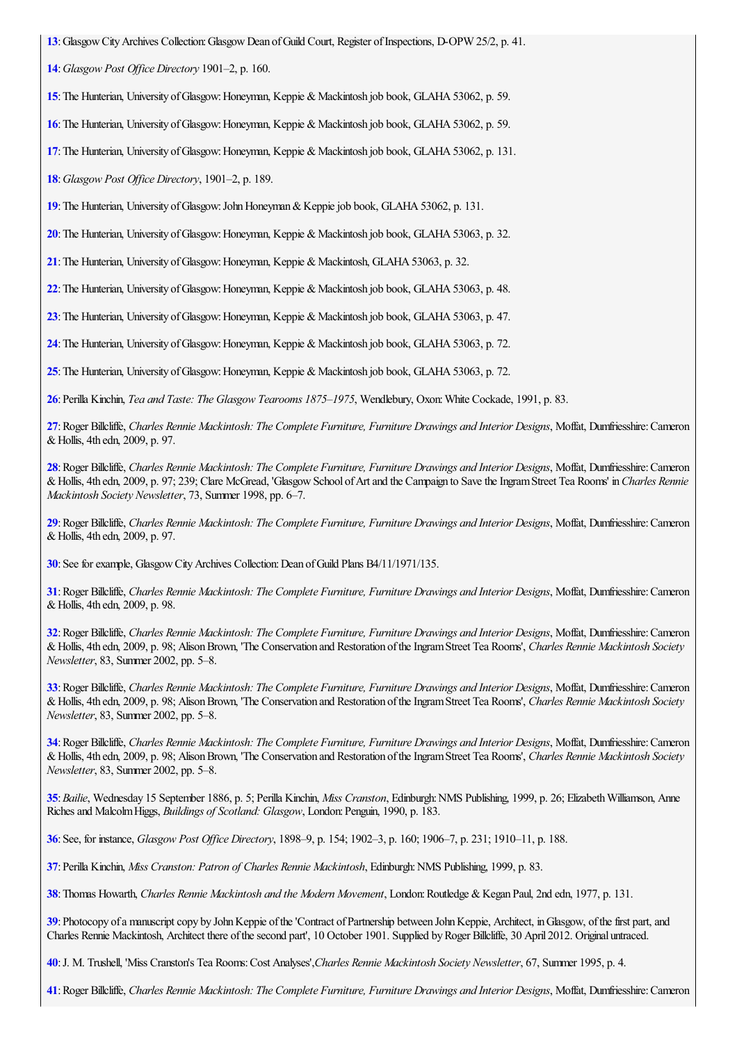<span id="page-15-0"></span>:GlasgowCityArchives Collection:GlasgowDean ofGuild Court, Register ofInspections, D-OPW 25/2, p. 41.

<span id="page-15-1"></span>:*Glasgow Post Of ice Directory* 1901–2, p. 160.

<span id="page-15-2"></span>: The Hunterian, University of Glasgow: Honeyman, Keppie & Mackintosh job book, GLAHA 53062, p. 59.

<span id="page-15-3"></span>: The Hunterian, University of Glasgow: Honeyman, Keppie & Mackintosh job book, GLAHA 53062, p. 59.

<span id="page-15-4"></span>: The Hunterian, University of Glasgow: Honeyman, Keppie & Mackintosh job book, GLAHA 53062, p. 131.

<span id="page-15-5"></span>:*Glasgow Post Of ice Directory*, 1901–2, p. 189.

<span id="page-15-6"></span>:The Hunterian, University ofGlasgow:JohnHoneyman&Keppiejob book, GLAHA53062, p. 131.

<span id="page-15-7"></span>: The Hunterian, University of Glasgow: Honeyman, Keppie & Mackintosh job book, GLAHA 53063, p. 32.

<span id="page-15-8"></span>: The Hunterian, University of Glasgow: Honeyman, Keppie & Mackintosh, GLAHA 53063, p. 32.

<span id="page-15-9"></span>: The Hunterian, University of Glasgow: Honeyman, Keppie & Mackintosh job book, GLAHA 53063, p. 48.

<span id="page-15-10"></span>: The Hunterian, University of Glasgow: Honeyman, Keppie & Mackintosh job book, GLAHA 53063, p. 47.

<span id="page-15-11"></span>: The Hunterian, University of Glasgow: Honeyman, Keppie & Mackintosh job book, GLAHA 53063, p. 72.

<span id="page-15-12"></span>: The Hunterian, University of Glasgow: Honeyman, Keppie & Mackintosh job book, GLAHA 53063, p. 72.

<span id="page-15-13"></span>:Perilla Kinchin, *Tea and Taste: The Glasgow Tearooms 1875–1975*, Wendlebury, Oxon:White Cockade, 1991, p. 83.

<span id="page-15-14"></span>: Roger Billcliffe, Charles Rennie Mackintosh: The Complete Furniture, Furniture Drawings and Interior Designs, Moffat, Dunfriesshire: Cameron &Hollis, 4th edn, 2009, p. 97.

<span id="page-15-15"></span>: Roger Billcliffe, Charles Rennie Mackintosh: The Complete Furniture, Furniture Drawings and Interior Designs, Moffat, Dumfriesshire: Cameron &Hollis, 4th edn, 2009, p. 97; 239; Clare McGread, 'GlasgowSchool ofArtand the Campaign to SavetheIngramStreet Tea Rooms' in*Charles Rennie Mackintosh Society Newsletter*, 73, Summer 1998, pp. 6–7.

<span id="page-15-16"></span>: Roger Billcliffe, Charles Rennie Mackintosh: The Complete Furniture, Furniture Drawings and Interior Designs, Moffat, Dumfriesshire: Cameron &Hollis, 4th edn, 2009, p. 97.

<span id="page-15-17"></span>: See for example, Glasgow City Archives Collection: Dean of Guild Plans B4/11/1971/135.

<span id="page-15-18"></span>: Roger Billcliffe, Charles Rennie Mackintosh: The Complete Furniture, Furniture Drawings and Interior Designs, Moffat, Dumfriesshire: Cameron &Hollis, 4th edn, 2009, p. 98.

<span id="page-15-19"></span>: Roger Billcliffe, Charles Rennie Mackintosh: The Complete Furniture, Furniture Drawings and Interior Designs, Moffat, Dumfriesshire: Cameron &Hollis, 4th edn, 2009, p. 98; AlisonBrown, 'The Conservation and Restoration oftheIngramStreet Tea Rooms', *Charles Rennie Mackintosh Society Newsletter*, 83, Summer 2002, pp. 5–8.

<span id="page-15-20"></span>: Roger Billcliffe, Charles Rennie Mackintosh: The Complete Furniture, Furniture Drawings and Interior Designs, Moffat, Dumfriesshire: Cameron &Hollis, 4th edn, 2009, p. 98; AlisonBrown, 'The Conservation and Restoration oftheIngramStreet Tea Rooms', *Charles Rennie Mackintosh Society Newsletter*, 83, Summer 2002, pp. 5–8.

<span id="page-15-21"></span>: Roger Billcliffe, Charles Rennie Mackintosh: The Complete Furniture, Furniture Drawings and Interior Designs, Moffat, Dumfriesshire: Cameron &Hollis, 4th edn, 2009, p. 98; AlisonBrown, 'The Conservation and Restoration oftheIngramStreet Tea Rooms', *Charles Rennie Mackintosh Society Newsletter*, 83, Summer 2002, pp. 5–8.

<span id="page-15-22"></span>:*Bailie*, Wednesday 15 September 1886, p. 5; Perilla Kinchin, *Miss Cranston*, Edinburgh:NMS Publishing, 1999, p. 26; ElizabethWilliamson, Anne Richesand MalcolmHiggs, *Buildings of Scotland: Glasgow*, London:Penguin, 1990, p. 183.

<span id="page-15-23"></span>:See, for instance, *Glasgow Post Of ice Directory*, 1898–9, p. 154; 1902–3, p. 160; 1906–7, p. 231; 1910–11, p. 188.

<span id="page-15-24"></span>:Perilla Kinchin, *Miss Cranston: Patron of Charles Rennie Mackintosh*, Edinburgh:NMS Publishing, 1999, p. 83.

<span id="page-15-25"></span>:Thomas Howarth, *Charles Rennie Mackintosh and the Modern Movement*, London:Routledge &Kegan Paul, 2nd edn, 1977, p. 131.

<span id="page-15-26"></span>: Photocopy of a manuscript copy by John Keppie of the 'Contract of Partnership between John Keppie, Architect, in Glasgow, of the first part, and Charles Rennie Mackintosh, Architect there of the second part', 10 October 1901. Supplied by Roger Billcliffe, 30 April 2012. Original untraced.

<span id="page-15-27"></span>:J. M. Trushell, 'Miss Cranston's Tea Rooms:Cost Analyses',*Charles Rennie Mackintosh Society Newsletter*, 67, Summer 1995, p. 4.

<span id="page-15-28"></span>: Roger Billcliffe, Charles Rennie Mackintosh: The Complete Furniture, Furniture Drawings and Interior Designs, Moffat, Dumfriesshire: Cameron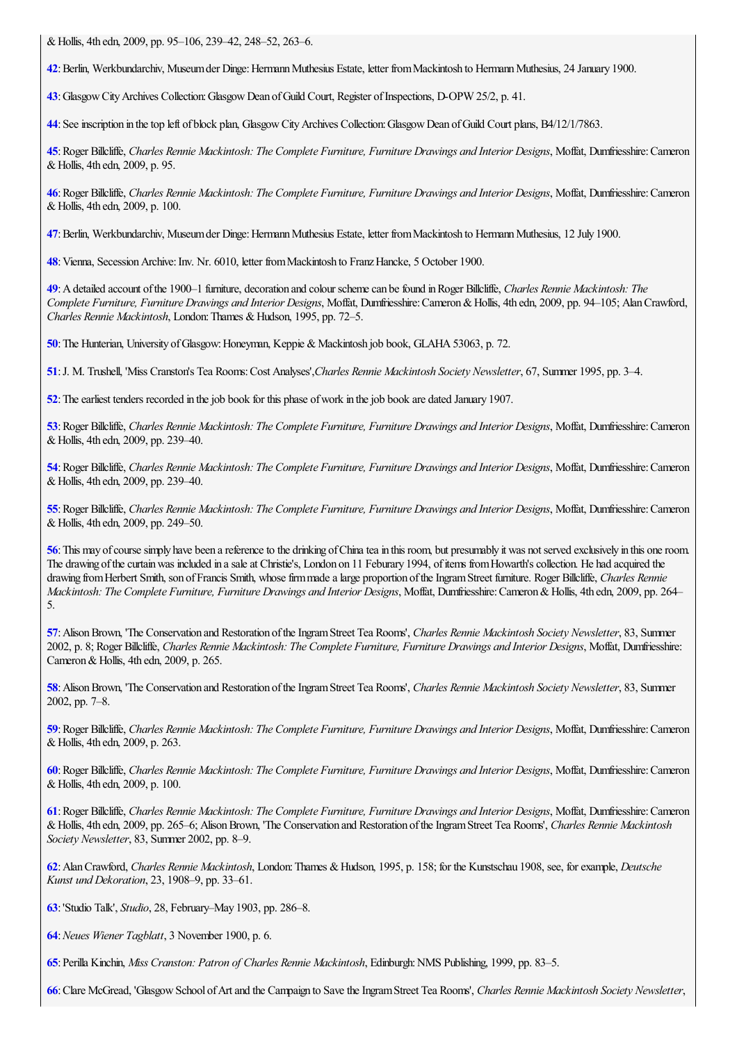&Hollis, 4th edn, 2009, pp. 95–106, 239–42, 248–52, 263–6.

<span id="page-16-0"></span>**[42](#page-2-7)**:Berlin, Werkbundarchiv, Museumder Dinge:HermannMuthesius Estate, letter fromMackintosh to HermannMuthesius, 24 January 1900.

<span id="page-16-1"></span>**[43](#page-2-8)**:GlasgowCityArchives Collection:GlasgowDean ofGuild Court, Register ofInspections, D-OPW 25/2, p. 41.

<span id="page-16-2"></span>**[44](#page-2-9)**: See inscription in the top left of block plan, Glasgow City Archives Collection: Glasgow Dean of Guild Court plans, B4/12/1/7863.

<span id="page-16-3"></span>[45](#page-2-10): Roger Billcliffe, Charles Rennie Mackintosh: The Complete Furniture, Furniture Drawings and Interior Designs, Moffat, Dumfriesshire: Cameron &Hollis, 4th edn, 2009, p. 95.

<span id="page-16-4"></span>[46](#page-3-0): Roger Billcliffe, Charles Rennie Mackintosh: The Complete Furniture, Furniture Drawings and Interior Designs, Moffat, Dumfriesshire: Cameron &Hollis, 4th edn, 2009, p. 100.

<span id="page-16-5"></span>**[47](#page-3-1)**: Berlin, Werkbundarchiv, Museum der Dinge: Hermann Muthesius Estate, letter from Mackintosh to Hermann Muthesius, 12 July 1900.

<span id="page-16-6"></span>[48](#page-3-2): Vienna, Secession Archive: Inv. Nr. 6010, letter from Mackintosh to Franz Hancke, 5 October 1900.

<span id="page-16-7"></span>**[49](#page-3-3)**:Adetailed account ofthe 1900–1 furniture, decoration and colour schemecan befound inRoger Billcliffe, *Charles Rennie Mackintosh: The Complete Furniture, Furniture Drawings and Interior Designs*, Moffat, Dumfriesshire:Cameron&Hollis, 4th edn, 2009, pp. 94–105; AlanCrawford, *Charles Rennie Mackintosh, London: Thames & Hudson, 1995, pp. 72–5.* 

<span id="page-16-8"></span>**[50](#page-3-4)**: The Hunterian, University of Glasgow: Honeyman, Keppie & Mackintosh job book, GLAHA 53063, p. 72.

<span id="page-16-9"></span>**[51](#page-4-0)**:J. M. Trushell, 'Miss Cranston's Tea Rooms:Cost Analyses',*Charles Rennie Mackintosh Society Newsletter*, 67, Summer 1995, pp. 3–4.

<span id="page-16-10"></span>**[52](#page-4-1)**: The earliest tenders recorded in the job book for this phase of work in the job book are dated January 1907.

<span id="page-16-11"></span>[53](#page-4-2): Roger Billcliffe, Charles Rennie Mackintosh: The Complete Furniture, Furniture Drawings and Interior Designs, Moffat, Dumfriesshire: Cameron &Hollis, 4th edn, 2009, pp. 239–40.

<span id="page-16-12"></span>[54](#page-4-3): Roger Billcliffe, Charles Rennie Mackintosh: The Complete Furniture, Furniture Drawings and Interior Designs, Moffat, Dumfriesshire: Cameron &Hollis, 4th edn, 2009, pp. 239–40.

<span id="page-16-13"></span>[55](#page-5-0): Roger Billcliffe, Charles Rennie Mackintosh: The Complete Furniture, Furniture Drawings and Interior Designs, Moffat, Dumfriesshire: Cameron &Hollis, 4th edn, 2009, pp. 249–50.

<span id="page-16-14"></span>**[56](#page-5-1)**: This may of course simply have been a reference to the drinking of China tea in this room, but presumably it was not served exclusively in this one room. The drawing of the curtain was included in a sale at Christie's, London on 11 Feburary 1994, of items from Howarth's collection. He had acquired the drawing from Herbert Smith, son of Francis Smith, whose firm made a large proportion of the Ingram Street furniture. Roger Billcliffe, *Charles Rennie Mackintosh: The Complete Furniture, Furniture Drawings and Interior Designs*, Moffat, Dumfriesshire:Cameron&Hollis, 4th edn, 2009, pp. 264– 5.

<span id="page-16-15"></span>**[57](#page-5-2)**:AlisonBrown, 'The Conservation and Restoration oftheIngramStreet Tea Rooms', *Charles Rennie Mackintosh Society Newsletter*, 83, Summer 2002, p. 8; Roger Billcliffe, *Charles Rennie Mackintosh: The Complete Furniture, Furniture Drawings and Interior Designs*, Moffat, Dumfriesshire: Cameron & Hollis, 4th edn, 2009, p. 265.

<span id="page-16-16"></span>**[58](#page-5-3)**:AlisonBrown, 'The Conservation and Restoration oftheIngramStreet Tea Rooms', *Charles Rennie Mackintosh Society Newsletter*, 83, Summer 2002, pp. 7–8.

<span id="page-16-17"></span>[59](#page-5-4): Roger Billcliffe, Charles Rennie Mackintosh: The Complete Furniture, Furniture Drawings and Interior Designs, Moffat, Dumfriesshire: Cameron &Hollis, 4th edn, 2009, p. 263.

<span id="page-16-18"></span>[60](#page-6-0): Roger Billcliffe, Charles Rennie Mackintosh: The Complete Furniture, Furniture Drawings and Interior Designs, Moffat, Dumfriesshire: Cameron &Hollis, 4th edn, 2009, p. 100.

<span id="page-16-19"></span>[61](#page-6-1): Roger Billcliffe, Charles Rennie Mackintosh: The Complete Furniture, Furniture Drawings and Interior Designs, Moffat, Dumfriesshire: Cameron &Hollis, 4th edn, 2009, pp. 265–6; AlisonBrown, 'The Conservation and Restoration oftheIngramStreet Tea Rooms', *Charles Rennie Mackintosh Society Newsletter*, 83, Summer 2002, pp. 8–9.

<span id="page-16-20"></span>**[62](#page-6-2)**:AlanCrawford, *Charles Rennie Mackintosh*, London:Thames &Hudson, 1995, p. 158; for the Kunstschau 1908, see, forexample, *Deutsche Kunst und Dekoration*, 23, 1908–9, pp. 33–61.

<span id="page-16-21"></span>**[63](#page-6-3)**:'Studio Talk', *Studio*, 28, February–May 1903, pp. 286–8.

<span id="page-16-22"></span>**[64](#page-6-4)**:*Neues Wiener Tagblatt*, 3 November 1900, p. 6.

<span id="page-16-23"></span>**[65](#page-6-5)**:Perilla Kinchin, *Miss Cranston: Patron of Charles Rennie Mackintosh*, Edinburgh:NMS Publishing, 1999, pp. 83–5.

<span id="page-16-24"></span>**[66](#page-6-6)**:Clare McGread, 'GlasgowSchool ofArtand the Campaign to SavetheIngramStreet Tea Rooms', *Charles Rennie Mackintosh Society Newsletter*,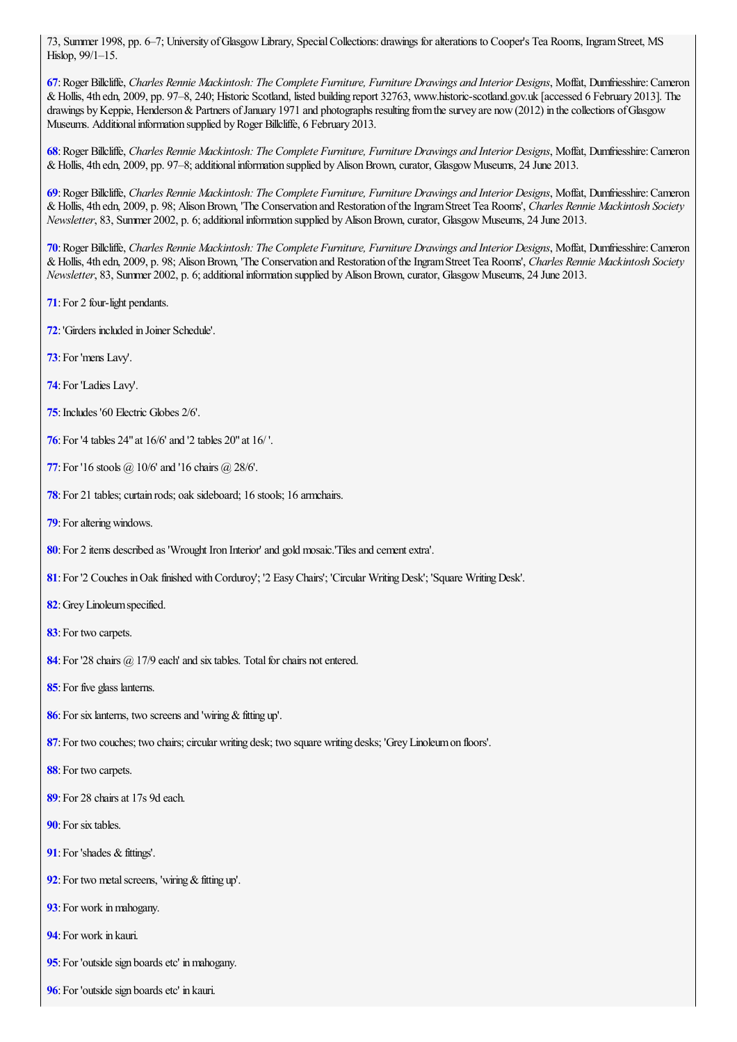73, Summer 1998, pp. 6–7; University ofGlasgowLibrary, SpecialCollections: drawings foralterations to Cooper's Tea Rooms, IngramStreet, MS Hislop, 99/1–15.

<span id="page-17-0"></span>: Roger Billcliffe, Charles Rennie Mackintosh: The Complete Furniture, Furniture Drawings and Interior Designs, Moffat, Dumfriesshire: Cameron &Hollis, 4th edn, 2009, pp. 97–8, 240; Historic Scotland, listed building report 32763, www.historic-scotland.gov.uk [accessed 6 February 2013]. The drawings by Keppie, Henderson & Partners of January 1971 and photographs resulting from the survey are now (2012) in the collections of Glasgow Museums. Additional information supplied by Roger Billcliffe, 6 February 2013.

<span id="page-17-1"></span>: Roger Billcliffe, Charles Rennie Mackintosh: The Complete Furniture, Furniture Drawings and Interior Designs, Moffat, Dumfriesshire: Cameron & Hollis, 4th edn, 2009, pp. 97–8; additional information supplied by Alison Brown, curator, Glasgow Museums, 24 June 2013.

<span id="page-17-2"></span>: Roger Billcliffe, Charles Rennie Mackintosh: The Complete Furniture, Furniture Drawings and Interior Designs, Moffat, Dumfriesshire: Cameron &Hollis, 4th edn, 2009, p. 98; AlisonBrown, 'The Conservation and Restoration oftheIngramStreet Tea Rooms', *Charles Rennie Mackintosh Society Newsletter*, 83, Summer 2002, p. 6; additional information supplied by Alison Brown, curator, Glasgow Museums, 24 June 2013.

<span id="page-17-3"></span>: Roger Billcliffe, Charles Rennie Mackintosh: The Complete Furniture, Furniture Drawings and Interior Designs, Moffat, Dumfriesshire: Cameron &Hollis, 4th edn, 2009, p. 98; AlisonBrown, 'The Conservation and Restoration oftheIngramStreet Tea Rooms', *Charles Rennie Mackintosh Society Newsletter*, 83, Summer 2002, p. 6; additional information supplied by Alison Brown, curator, Glasgow Museums, 24 June 2013.

- <span id="page-17-4"></span>:For 2 four-light pendants.
- <span id="page-17-5"></span>:'Girders included in Joiner Schedule'.
- <span id="page-17-6"></span>: For 'mens Lavy'.
- <span id="page-17-7"></span>: For 'Ladies Lavy'.
- <span id="page-17-8"></span>: Includes '60 Electric Globes 2/6'.
- <span id="page-17-9"></span>:For '4 tables 24"at 16/6' and '2 tables 20"at 16/ '.
- <span id="page-17-10"></span>:For '16 stools @ 10/6' and '16 chairs @ 28/6'.
- <span id="page-17-11"></span>: For 21 tables; curtain rods; oak sideboard; 16 stools; 16 armchairs.
- <span id="page-17-12"></span>: For altering windows.
- <span id="page-17-13"></span>: For 2 items described as 'Wrought Iron Interior' and gold mosaic. Tiles and cement extra'.
- <span id="page-17-14"></span>:For '2 Couches inOak finished withCorduroy'; '2 EasyChairs'; 'Circular WritingDesk'; 'Square WritingDesk'.
- <span id="page-17-15"></span>:GreyLinoleumspecified.
- <span id="page-17-16"></span>: For two carpets.
- <span id="page-17-17"></span>: For '28 chairs @ 17/9 each' and six tables. Total for chairs not entered.
- <span id="page-17-18"></span>: For five glass lanterns.
- <span id="page-17-19"></span>: For six lanterns, two screens and 'wiring & fitting up'.
- <span id="page-17-20"></span>: For two couches; two chairs; circular writing desk; two square writing desks; 'Grey Linoleum on floors'.
- <span id="page-17-21"></span>: For two carpets.
- <span id="page-17-22"></span>: For 28 chairs at 17s 9d each.
- <span id="page-17-23"></span>: For six tables.
- <span id="page-17-24"></span>: For 'shades & fittings'.
- <span id="page-17-25"></span>: For two metal screens, 'wiring & fitting up'.
- <span id="page-17-26"></span>: For work in mahogany.
- <span id="page-17-27"></span>: For work in kauri.
- <span id="page-17-28"></span>: For 'outside sign boards etc' in mahogany.
- <span id="page-17-29"></span>: For 'outside sign boards etc' in kauri.